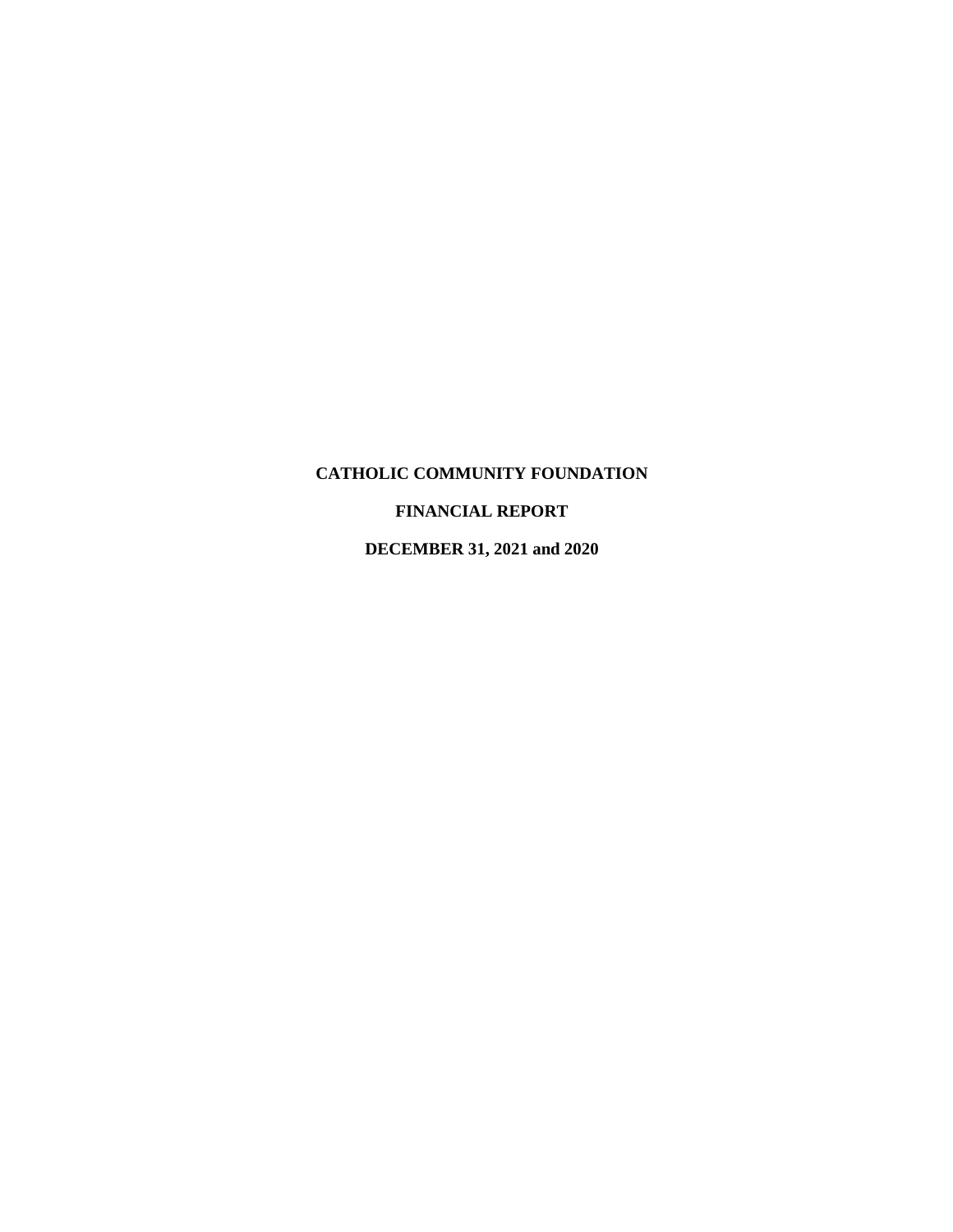# **FINANCIAL REPORT**

**DECEMBER 31, 2021 and 2020**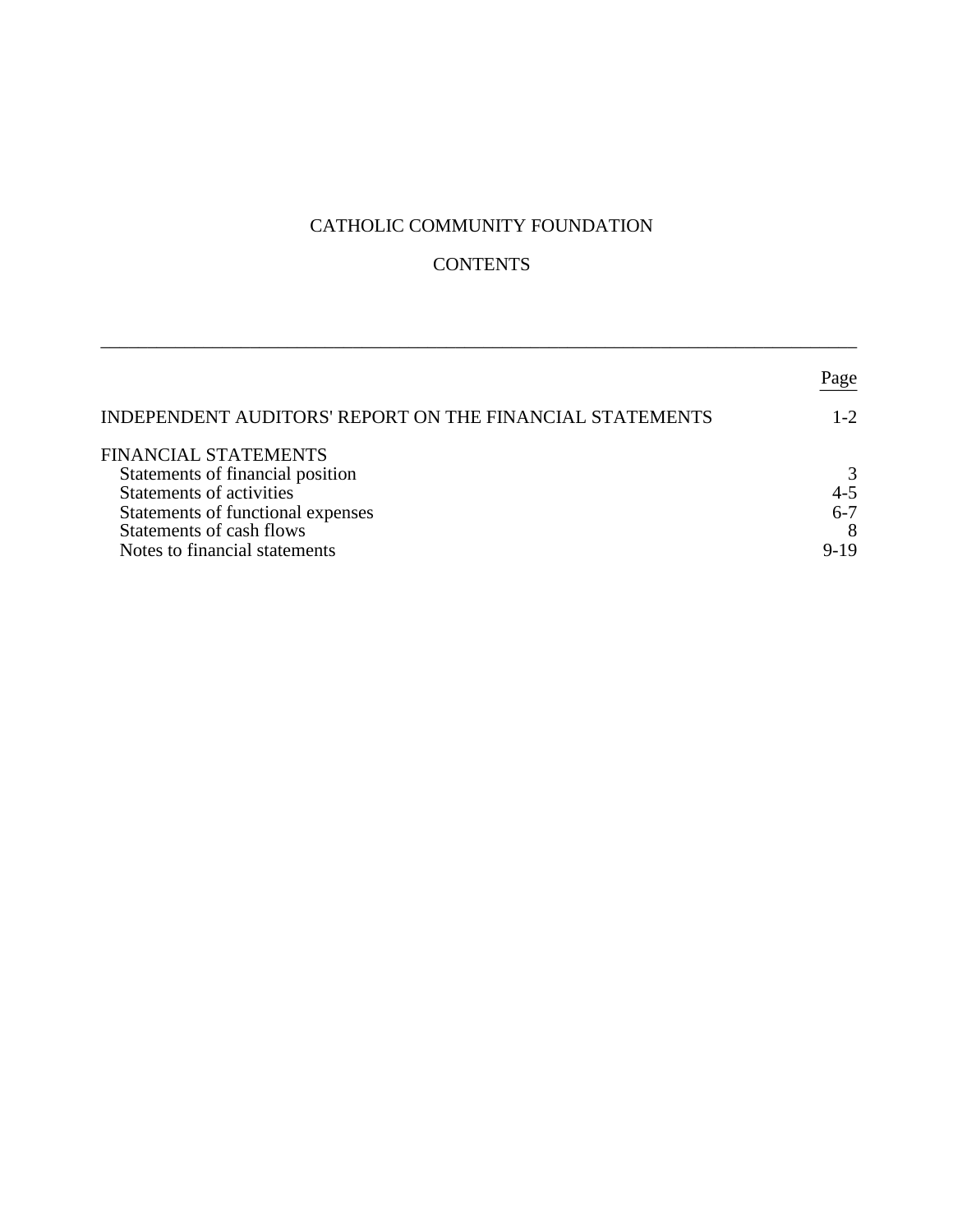# **CONTENTS**

\_\_\_\_\_\_\_\_\_\_\_\_\_\_\_\_\_\_\_\_\_\_\_\_\_\_\_\_\_\_\_\_\_\_\_\_\_\_\_\_\_\_\_\_\_\_\_\_\_\_\_\_\_\_\_\_\_\_\_\_\_\_\_\_\_\_\_\_\_\_\_\_\_\_\_\_\_\_\_\_\_

|                                                                                                                                                                                               | Page                                |
|-----------------------------------------------------------------------------------------------------------------------------------------------------------------------------------------------|-------------------------------------|
| INDEPENDENT AUDITORS' REPORT ON THE FINANCIAL STATEMENTS                                                                                                                                      | $1 - 2$                             |
| FINANCIAL STATEMENTS<br>Statements of financial position<br><b>Statements of activities</b><br>Statements of functional expenses<br>Statements of cash flows<br>Notes to financial statements | 3<br>$4 - 5$<br>$6 - 7$<br>$9 - 19$ |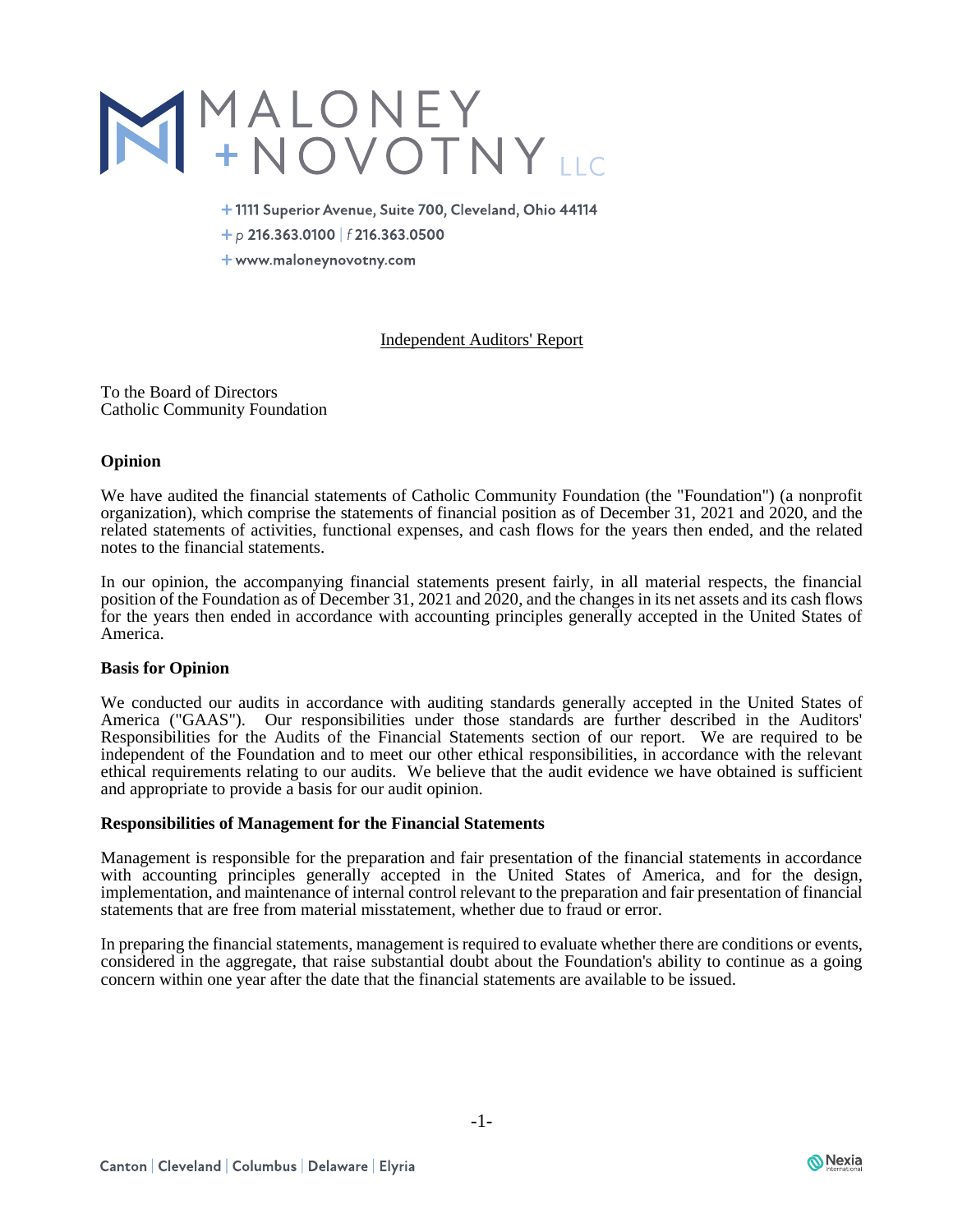# MMALONEY<br>HOVOTNYLLC

+ 1111 Superior Avenue, Suite 700, Cleveland, Ohio 44114  $+$  p 216.363.0100 | f 216.363.0500

+ www.maloneynovotny.com

#### Independent Auditors' Report

To the Board of Directors Catholic Community Foundation

#### **Opinion**

We have audited the financial statements of Catholic Community Foundation (the "Foundation") (a nonprofit organization), which comprise the statements of financial position as of December 31, 2021 and 2020, and the related statements of activities, functional expenses, and cash flows for the years then ended, and the related notes to the financial statements.

In our opinion, the accompanying financial statements present fairly, in all material respects, the financial position of the Foundation as of December 31, 2021 and 2020, and the changes in its net assets and its cash flows for the years then ended in accordance with accounting principles generally accepted in the United States of America.

#### **Basis for Opinion**

We conducted our audits in accordance with auditing standards generally accepted in the United States of America ("GAAS"). Our responsibilities under those standards are further described in the Auditors' Responsibilities for the Audits of the Financial Statements section of our report. We are required to be independent of the Foundation and to meet our other ethical responsibilities, in accordance with the relevant ethical requirements relating to our audits. We believe that the audit evidence we have obtained is sufficient and appropriate to provide a basis for our audit opinion.

#### **Responsibilities of Management for the Financial Statements**

Management is responsible for the preparation and fair presentation of the financial statements in accordance with accounting principles generally accepted in the United States of America, and for the design, implementation, and maintenance of internal control relevant to the preparation and fair presentation of financial statements that are free from material misstatement, whether due to fraud or error.

In preparing the financial statements, management is required to evaluate whether there are conditions or events, considered in the aggregate, that raise substantial doubt about the Foundation's ability to continue as a going concern within one year after the date that the financial statements are available to be issued.

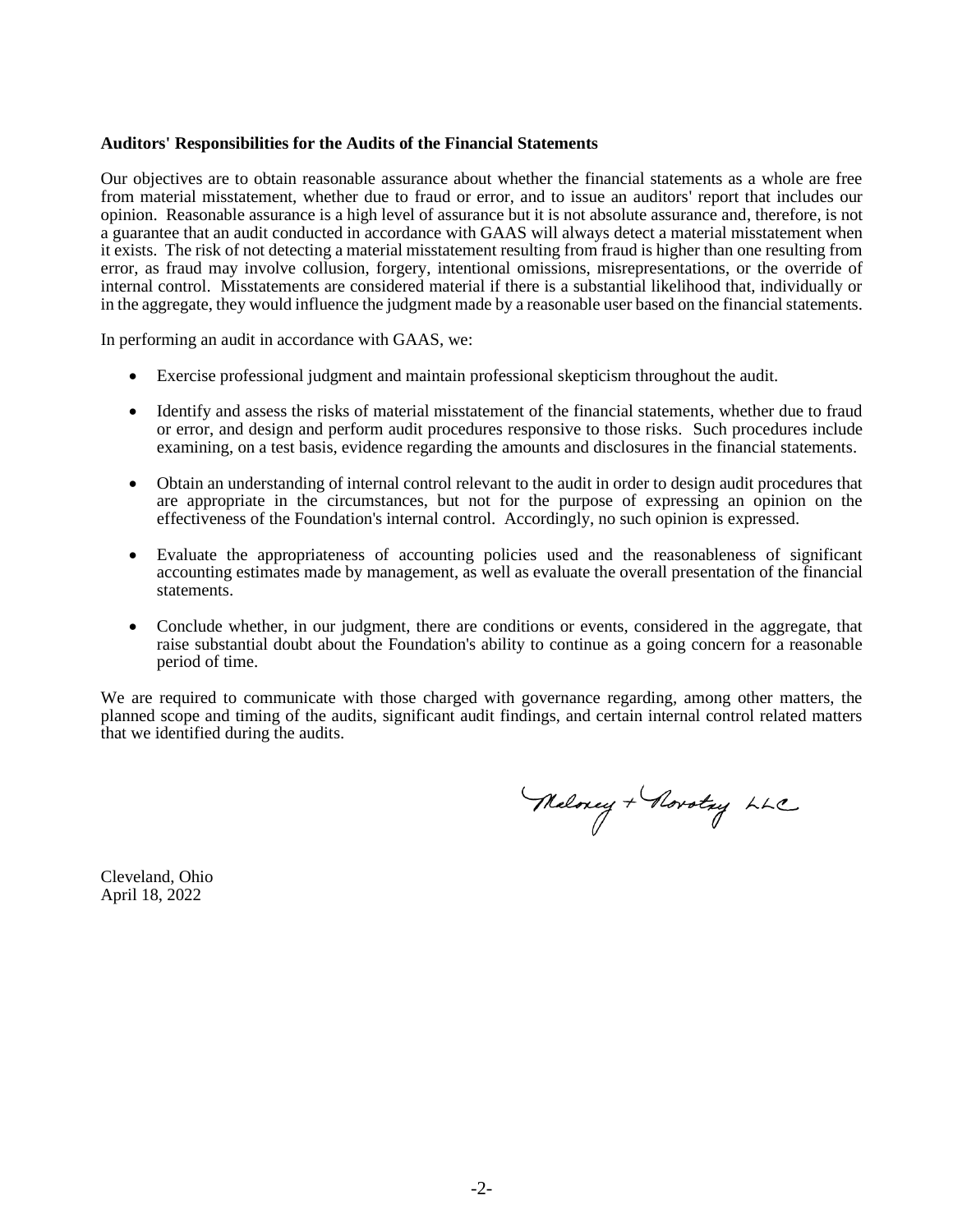#### **Auditors' Responsibilities for the Audits of the Financial Statements**

Our objectives are to obtain reasonable assurance about whether the financial statements as a whole are free from material misstatement, whether due to fraud or error, and to issue an auditors' report that includes our opinion. Reasonable assurance is a high level of assurance but it is not absolute assurance and, therefore, is not a guarantee that an audit conducted in accordance with GAAS will always detect a material misstatement when it exists. The risk of not detecting a material misstatement resulting from fraud is higher than one resulting from error, as fraud may involve collusion, forgery, intentional omissions, misrepresentations, or the override of internal control. Misstatements are considered material if there is a substantial likelihood that, individually or in the aggregate, they would influence the judgment made by a reasonable user based on the financial statements.

In performing an audit in accordance with GAAS, we:

- Exercise professional judgment and maintain professional skepticism throughout the audit.
- Identify and assess the risks of material misstatement of the financial statements, whether due to fraud or error, and design and perform audit procedures responsive to those risks. Such procedures include examining, on a test basis, evidence regarding the amounts and disclosures in the financial statements.
- Obtain an understanding of internal control relevant to the audit in order to design audit procedures that are appropriate in the circumstances, but not for the purpose of expressing an opinion on the effectiveness of the Foundation's internal control. Accordingly, no such opinion is expressed.
- Evaluate the appropriateness of accounting policies used and the reasonableness of significant accounting estimates made by management, as well as evaluate the overall presentation of the financial statements.
- Conclude whether, in our judgment, there are conditions or events, considered in the aggregate, that raise substantial doubt about the Foundation's ability to continue as a going concern for a reasonable period of time.

We are required to communicate with those charged with governance regarding, among other matters, the planned scope and timing of the audits, significant audit findings, and certain internal control related matters that we identified during the audits.

Neloney + Rovotry LLC

Cleveland, Ohio April 18, 2022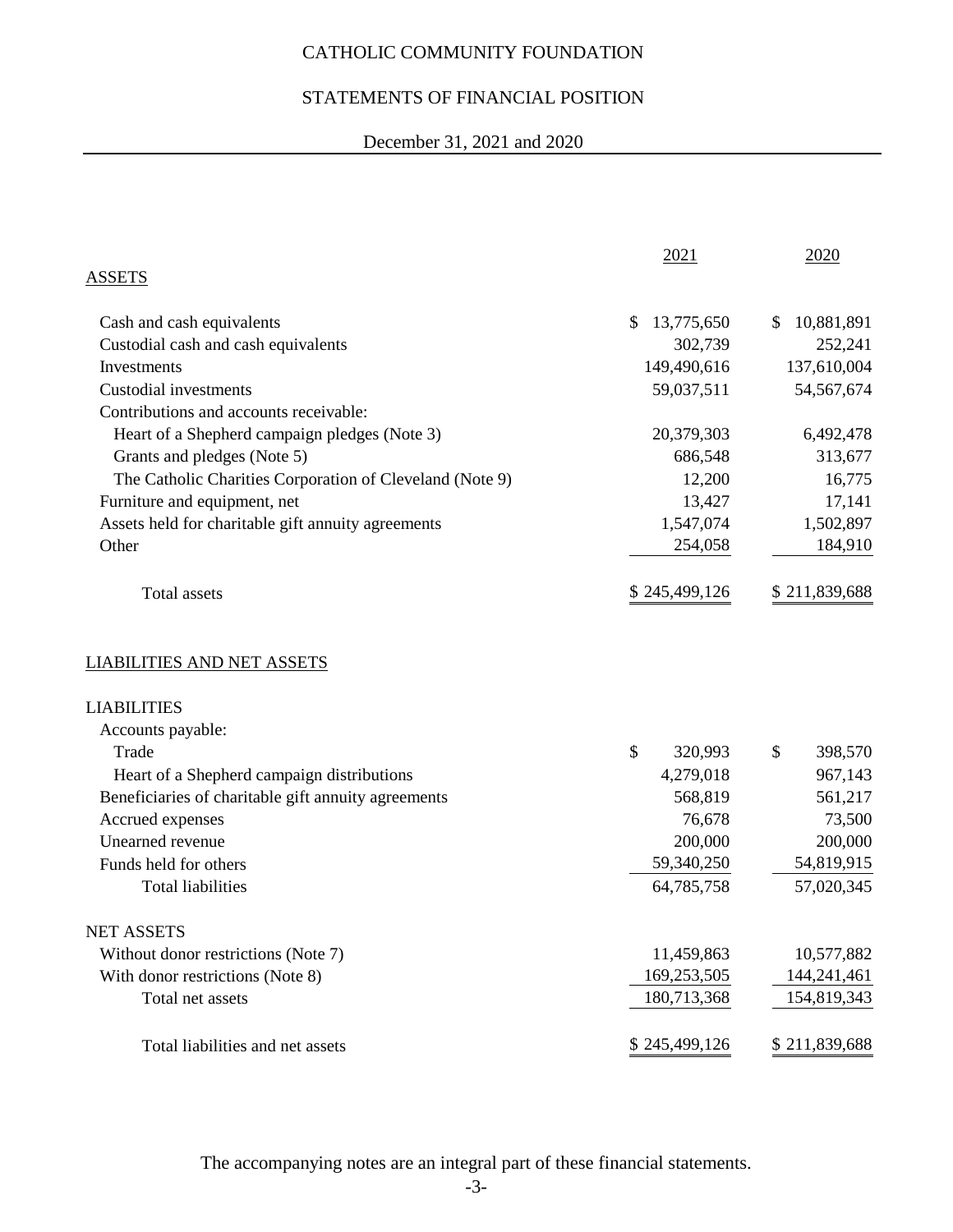# STATEMENTS OF FINANCIAL POSITION

# December 31, 2021 and 2020

|                                                          | 2021             | 2020             |
|----------------------------------------------------------|------------------|------------------|
| <b>ASSETS</b>                                            |                  |                  |
| Cash and cash equivalents                                | \$<br>13,775,650 | 10,881,891<br>\$ |
| Custodial cash and cash equivalents                      | 302,739          | 252,241          |
| Investments                                              | 149,490,616      | 137,610,004      |
| <b>Custodial investments</b>                             | 59,037,511       | 54,567,674       |
| Contributions and accounts receivable:                   |                  |                  |
| Heart of a Shepherd campaign pledges (Note 3)            | 20,379,303       | 6,492,478        |
| Grants and pledges (Note 5)                              | 686,548          | 313,677          |
| The Catholic Charities Corporation of Cleveland (Note 9) | 12,200           | 16,775           |
| Furniture and equipment, net                             | 13,427           | 17,141           |
| Assets held for charitable gift annuity agreements       | 1,547,074        | 1,502,897        |
| Other                                                    | 254,058          | 184,910          |
| Total assets                                             | \$245,499,126    | \$211,839,688    |
| LIABILITIES AND NET ASSETS                               |                  |                  |
| <b>LIABILITIES</b>                                       |                  |                  |
| Accounts payable:                                        |                  |                  |
| Trade                                                    | \$<br>320,993    | \$<br>398,570    |
| Heart of a Shepherd campaign distributions               | 4,279,018        | 967,143          |
| Beneficiaries of charitable gift annuity agreements      | 568,819          | 561,217          |
| Accrued expenses                                         | 76,678           | 73,500           |
| Unearned revenue                                         | 200,000          | 200,000          |
| Funds held for others                                    | 59,340,250       | 54,819,915       |
| <b>Total liabilities</b>                                 | 64,785,758       | 57,020,345       |
| NET ASSETS                                               |                  |                  |
| Without donor restrictions (Note 7)                      | 11,459,863       | 10,577,882       |
| With donor restrictions (Note 8)                         | 169,253,505      | 144,241,461      |
| Total net assets                                         | 180,713,368      | 154,819,343      |
| Total liabilities and net assets                         | \$245,499,126    | \$211,839,688    |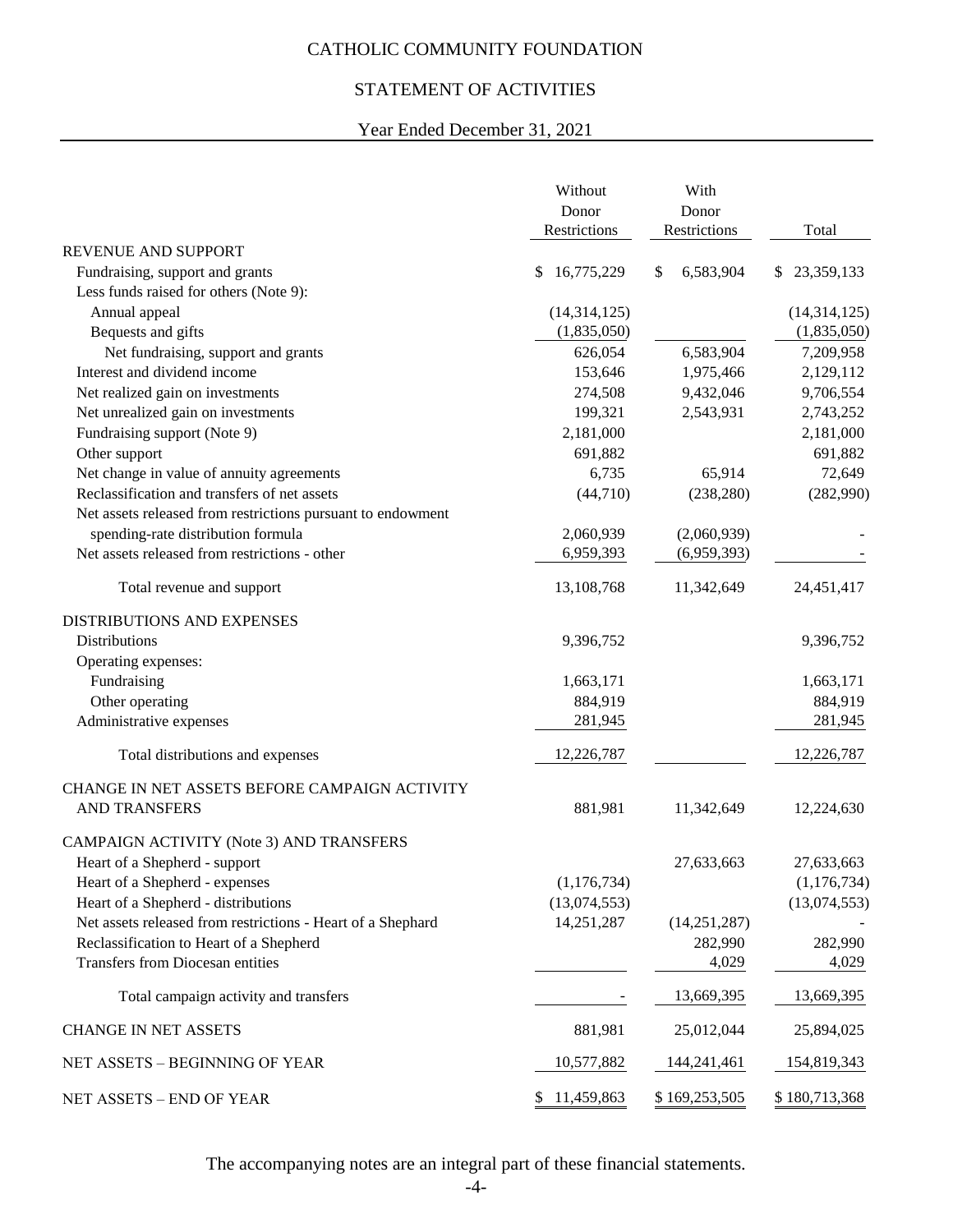# STATEMENT OF ACTIVITIES

# Year Ended December 31, 2021

|                                                             | Without<br>Donor<br>Restrictions | With<br>Donor<br>Restrictions | Total            |
|-------------------------------------------------------------|----------------------------------|-------------------------------|------------------|
| REVENUE AND SUPPORT                                         |                                  |                               |                  |
| Fundraising, support and grants                             | 16,775,229<br>\$                 | 6,583,904<br>\$               | 23,359,133<br>\$ |
| Less funds raised for others (Note 9):                      |                                  |                               |                  |
| Annual appeal                                               | (14, 314, 125)                   |                               | (14,314,125)     |
| Bequests and gifts                                          | (1,835,050)                      |                               | (1,835,050)      |
| Net fundraising, support and grants                         | 626,054                          | 6,583,904                     | 7,209,958        |
| Interest and dividend income                                | 153,646                          | 1,975,466                     | 2,129,112        |
| Net realized gain on investments                            | 274,508                          | 9,432,046                     | 9,706,554        |
| Net unrealized gain on investments                          | 199,321                          | 2,543,931                     | 2,743,252        |
| Fundraising support (Note 9)                                | 2,181,000                        |                               | 2,181,000        |
| Other support                                               | 691,882                          |                               | 691,882          |
| Net change in value of annuity agreements                   | 6,735                            | 65,914                        | 72,649           |
| Reclassification and transfers of net assets                | (44, 710)                        | (238, 280)                    | (282,990)        |
| Net assets released from restrictions pursuant to endowment |                                  |                               |                  |
| spending-rate distribution formula                          | 2,060,939                        | (2,060,939)                   |                  |
| Net assets released from restrictions - other               | 6,959,393                        | (6,959,393)                   |                  |
| Total revenue and support                                   | 13,108,768                       | 11,342,649                    | 24,451,417       |
| <b>DISTRIBUTIONS AND EXPENSES</b>                           |                                  |                               |                  |
| <b>Distributions</b>                                        | 9,396,752                        |                               | 9,396,752        |
| Operating expenses:                                         |                                  |                               |                  |
| Fundraising                                                 | 1,663,171                        |                               | 1,663,171        |
| Other operating                                             | 884,919                          |                               | 884,919          |
| Administrative expenses                                     | 281,945                          |                               | 281,945          |
| Total distributions and expenses                            | 12,226,787                       |                               | 12,226,787       |
| CHANGE IN NET ASSETS BEFORE CAMPAIGN ACTIVITY               |                                  |                               |                  |
| AND TRANSFERS                                               | 881,981                          | 11,342,649                    | 12,224,630       |
| CAMPAIGN ACTIVITY (Note 3) AND TRANSFERS                    |                                  |                               |                  |
| Heart of a Shepherd - support                               |                                  | 27,633,663                    | 27,633,663       |
| Heart of a Shepherd - expenses                              | (1, 176, 734)                    |                               | (1, 176, 734)    |
| Heart of a Shepherd - distributions                         | (13,074,553)                     |                               | (13,074,553)     |
| Net assets released from restrictions - Heart of a Shephard | 14,251,287                       | (14, 251, 287)                |                  |
| Reclassification to Heart of a Shepherd                     |                                  | 282,990                       | 282,990          |
| Transfers from Diocesan entities                            |                                  | 4,029                         | 4,029            |
| Total campaign activity and transfers                       |                                  | 13,669,395                    | 13,669,395       |
| <b>CHANGE IN NET ASSETS</b>                                 | 881,981                          | 25,012,044                    | 25,894,025       |
| NET ASSETS - BEGINNING OF YEAR                              | 10,577,882                       | 144,241,461                   | 154,819,343      |
| NET ASSETS - END OF YEAR                                    | 11,459,863<br>D.                 | \$169,253,505                 | \$180,713,368    |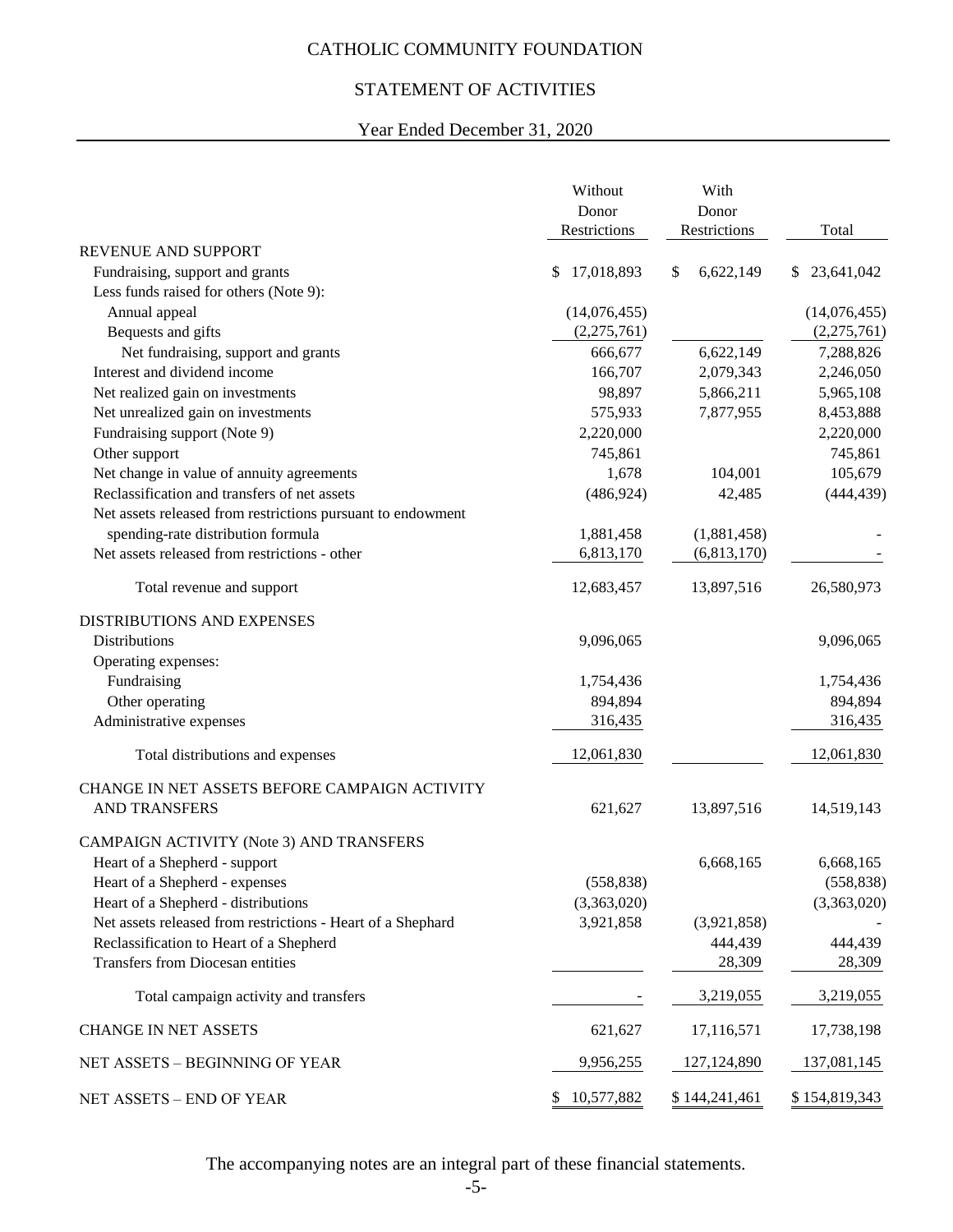# STATEMENT OF ACTIVITIES

# Year Ended December 31, 2020

|                                                             | Without<br>Donor<br>Restrictions | With<br>Donor<br>Restrictions | Total            |
|-------------------------------------------------------------|----------------------------------|-------------------------------|------------------|
| REVENUE AND SUPPORT                                         |                                  |                               |                  |
| Fundraising, support and grants                             | 17,018,893<br>\$                 | 6,622,149<br>\$               | 23,641,042<br>S. |
| Less funds raised for others (Note 9):                      |                                  |                               |                  |
| Annual appeal                                               | (14,076,455)                     |                               | (14,076,455)     |
| Bequests and gifts                                          | (2,275,761)                      |                               | (2,275,761)      |
| Net fundraising, support and grants                         | 666,677                          | 6,622,149                     | 7,288,826        |
| Interest and dividend income                                | 166,707                          | 2,079,343                     | 2,246,050        |
| Net realized gain on investments                            | 98,897                           | 5,866,211                     | 5,965,108        |
| Net unrealized gain on investments                          | 575,933                          | 7,877,955                     | 8,453,888        |
| Fundraising support (Note 9)                                | 2,220,000                        |                               | 2,220,000        |
| Other support                                               | 745,861                          |                               | 745,861          |
| Net change in value of annuity agreements                   | 1,678                            | 104,001                       | 105,679          |
| Reclassification and transfers of net assets                | (486, 924)                       | 42,485                        | (444, 439)       |
| Net assets released from restrictions pursuant to endowment |                                  |                               |                  |
| spending-rate distribution formula                          | 1,881,458                        | (1,881,458)                   |                  |
| Net assets released from restrictions - other               | 6,813,170                        | (6,813,170)                   |                  |
| Total revenue and support                                   | 12,683,457                       | 13,897,516                    | 26,580,973       |
| DISTRIBUTIONS AND EXPENSES                                  |                                  |                               |                  |
| <b>Distributions</b>                                        | 9,096,065                        |                               | 9,096,065        |
| Operating expenses:                                         |                                  |                               |                  |
| Fundraising                                                 | 1,754,436                        |                               | 1,754,436        |
| Other operating                                             | 894,894                          |                               | 894,894          |
| Administrative expenses                                     | 316,435                          |                               | 316,435          |
| Total distributions and expenses                            | 12,061,830                       |                               | 12,061,830       |
| CHANGE IN NET ASSETS BEFORE CAMPAIGN ACTIVITY               |                                  |                               |                  |
| AND TRANSFERS                                               | 621,627                          | 13,897,516                    | 14,519,143       |
| CAMPAIGN ACTIVITY (Note 3) AND TRANSFERS                    |                                  |                               |                  |
| Heart of a Shepherd - support                               |                                  | 6,668,165                     | 6,668,165        |
| Heart of a Shepherd - expenses                              | (558, 838)                       |                               | (558, 838)       |
| Heart of a Shepherd - distributions                         | (3,363,020)                      |                               | (3,363,020)      |
| Net assets released from restrictions - Heart of a Shephard | 3,921,858                        | (3,921,858)                   |                  |
| Reclassification to Heart of a Shepherd                     |                                  | 444,439                       | 444,439          |
| Transfers from Diocesan entities                            |                                  | 28,309                        | 28,309           |
| Total campaign activity and transfers                       |                                  | 3,219,055                     | 3,219,055        |
| <b>CHANGE IN NET ASSETS</b>                                 | 621,627                          | 17,116,571                    | 17,738,198       |
| NET ASSETS - BEGINNING OF YEAR                              | 9,956,255                        | 127, 124, 890                 | 137,081,145      |
| NET ASSETS - END OF YEAR                                    | 10,577,882                       | \$144,241,461                 | \$154,819,343    |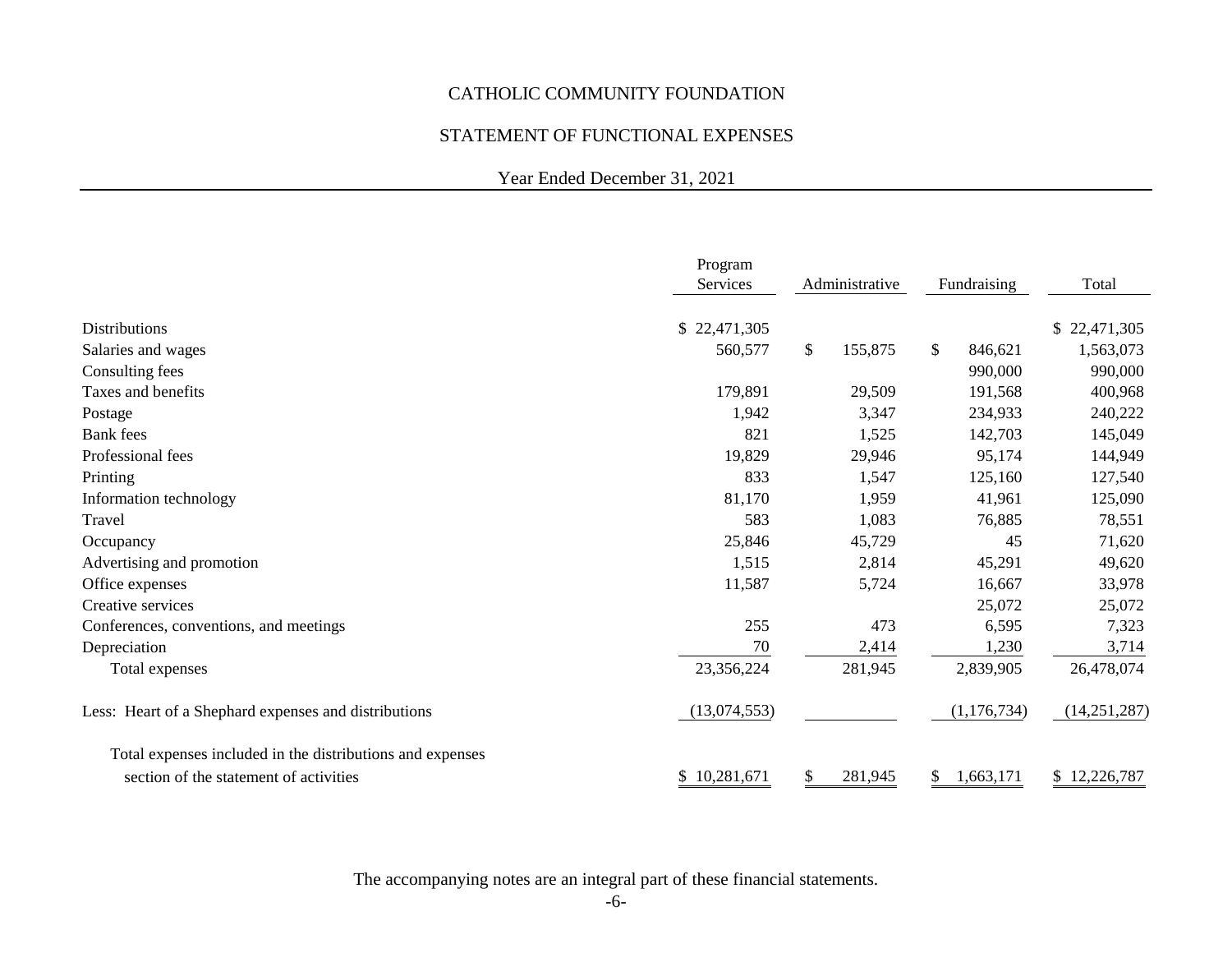# STATEMENT OF FUNCTIONAL EXPENSES

# Year Ended December 31, 2021

|                                                           | Program<br>Services | Administrative           | Fundraising     | Total            |
|-----------------------------------------------------------|---------------------|--------------------------|-----------------|------------------|
| <b>Distributions</b>                                      | \$22,471,305        |                          |                 | 22,471,305<br>\$ |
| Salaries and wages                                        | 560,577             | $\mathcal{S}$<br>155,875 | \$<br>846,621   | 1,563,073        |
| Consulting fees                                           |                     |                          | 990,000         | 990,000          |
| Taxes and benefits                                        | 179,891             | 29,509                   | 191,568         | 400,968          |
| Postage                                                   | 1,942               | 3,347                    | 234,933         | 240,222          |
| <b>Bank</b> fees                                          | 821                 | 1,525                    | 142,703         | 145,049          |
| Professional fees                                         | 19,829              | 29,946                   | 95,174          | 144,949          |
| Printing                                                  | 833                 | 1,547                    | 125,160         | 127,540          |
| Information technology                                    | 81,170              | 1,959                    | 41,961          | 125,090          |
| Travel                                                    | 583                 | 1,083                    | 76,885          | 78,551           |
| Occupancy                                                 | 25,846              | 45,729                   | 45              | 71,620           |
| Advertising and promotion                                 | 1,515               | 2,814                    | 45,291          | 49,620           |
| Office expenses                                           | 11,587              | 5,724                    | 16,667          | 33,978           |
| Creative services                                         |                     |                          | 25,072          | 25,072           |
| Conferences, conventions, and meetings                    | 255                 | 473                      | 6,595           | 7,323            |
| Depreciation                                              | 70                  | 2,414                    | 1,230           | 3,714            |
| Total expenses                                            | 23,356,224          | 281,945                  | 2,839,905       | 26,478,074       |
| Less: Heart of a Shephard expenses and distributions      | (13,074,553)        |                          | (1, 176, 734)   | (14, 251, 287)   |
| Total expenses included in the distributions and expenses |                     |                          |                 |                  |
| section of the statement of activities                    | \$10,281,671        | 281,945<br>\$            | 1,663,171<br>\$ | \$12,226,787     |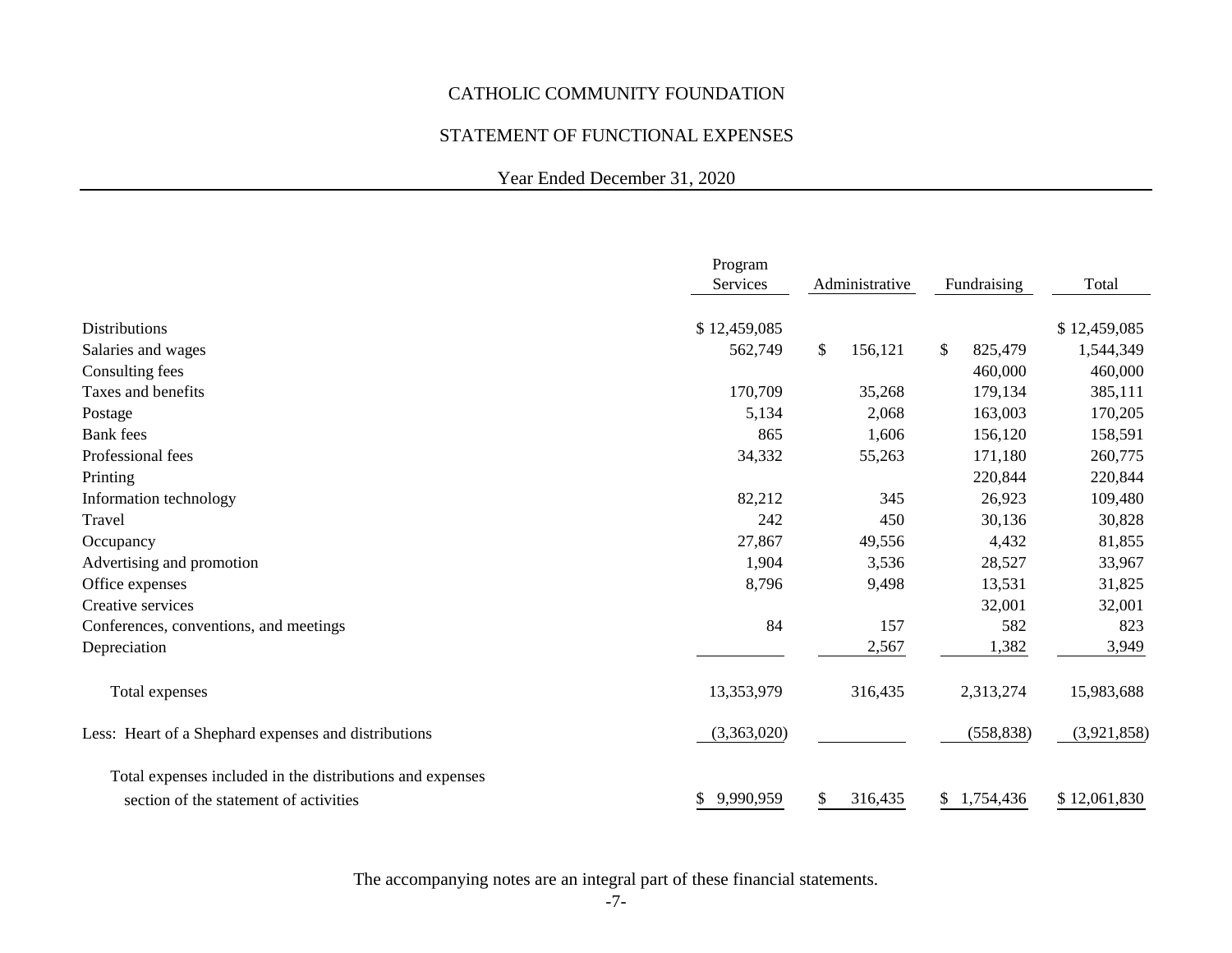# STATEMENT OF FUNCTIONAL EXPENSES

# Year Ended December 31, 2020

|                                                           | Program<br>Services | Administrative | Fundraising   | Total        |
|-----------------------------------------------------------|---------------------|----------------|---------------|--------------|
| Distributions                                             | \$12,459,085        |                |               | \$12,459,085 |
| Salaries and wages                                        | 562,749             | \$<br>156,121  | \$<br>825,479 | 1,544,349    |
| Consulting fees                                           |                     |                | 460,000       | 460,000      |
| Taxes and benefits                                        | 170,709             | 35,268         | 179,134       | 385,111      |
| Postage                                                   | 5,134               | 2,068          | 163,003       | 170,205      |
| <b>Bank</b> fees                                          | 865                 | 1,606          | 156,120       | 158,591      |
| Professional fees                                         | 34,332              | 55,263         | 171,180       | 260,775      |
| Printing                                                  |                     |                | 220,844       | 220,844      |
| Information technology                                    | 82,212              | 345            | 26,923        | 109,480      |
| Travel                                                    | 242                 | 450            | 30,136        | 30,828       |
| Occupancy                                                 | 27,867              | 49,556         | 4,432         | 81,855       |
| Advertising and promotion                                 | 1,904               | 3,536          | 28,527        | 33,967       |
| Office expenses                                           | 8,796               | 9,498          | 13,531        | 31,825       |
| Creative services                                         |                     |                | 32,001        | 32,001       |
| Conferences, conventions, and meetings                    | 84                  | 157            | 582           | 823          |
| Depreciation                                              |                     | 2,567          | 1,382         | 3,949        |
| Total expenses                                            | 13,353,979          | 316,435        | 2,313,274     | 15,983,688   |
| Less: Heart of a Shephard expenses and distributions      | (3,363,020)         |                | (558, 838)    | (3,921,858)  |
| Total expenses included in the distributions and expenses |                     |                |               |              |
| section of the statement of activities                    | 9,990,959<br>\$     | 316,435<br>\$  | \$1,754,436   | \$12,061,830 |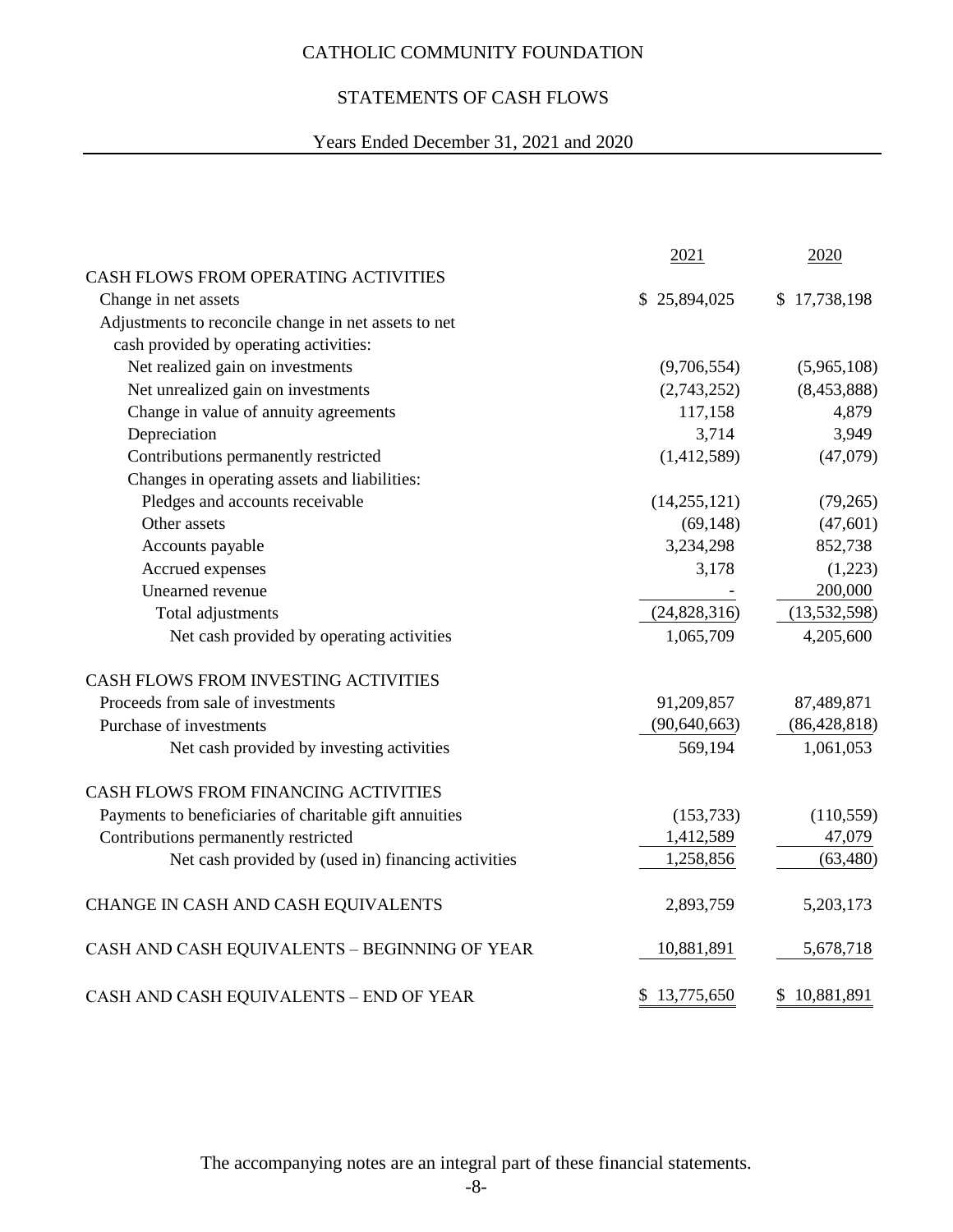# STATEMENTS OF CASH FLOWS

# Years Ended December 31, 2021 and 2020

|                                                        | 2021           | 2020           |
|--------------------------------------------------------|----------------|----------------|
| CASH FLOWS FROM OPERATING ACTIVITIES                   |                |                |
| Change in net assets                                   | \$25,894,025   | \$17,738,198   |
| Adjustments to reconcile change in net assets to net   |                |                |
| cash provided by operating activities:                 |                |                |
| Net realized gain on investments                       | (9,706,554)    | (5,965,108)    |
| Net unrealized gain on investments                     | (2,743,252)    | (8,453,888)    |
| Change in value of annuity agreements                  | 117,158        | 4,879          |
| Depreciation                                           | 3,714          | 3,949          |
| Contributions permanently restricted                   | (1,412,589)    | (47,079)       |
| Changes in operating assets and liabilities:           |                |                |
| Pledges and accounts receivable                        | (14,255,121)   | (79,265)       |
| Other assets                                           | (69, 148)      | (47, 601)      |
| Accounts payable                                       | 3,234,298      | 852,738        |
| Accrued expenses                                       | 3,178          | (1,223)        |
| Unearned revenue                                       |                | 200,000        |
| Total adjustments                                      | (24,828,316)   | (13, 532, 598) |
| Net cash provided by operating activities              | 1,065,709      | 4,205,600      |
| CASH FLOWS FROM INVESTING ACTIVITIES                   |                |                |
| Proceeds from sale of investments                      | 91,209,857     | 87,489,871     |
| Purchase of investments                                | (90, 640, 663) | (86, 428, 818) |
| Net cash provided by investing activities              | 569,194        | 1,061,053      |
| CASH FLOWS FROM FINANCING ACTIVITIES                   |                |                |
| Payments to beneficiaries of charitable gift annuities | (153, 733)     | (110, 559)     |
| Contributions permanently restricted                   | 1,412,589      | 47,079         |
| Net cash provided by (used in) financing activities    | 1,258,856      | (63, 480)      |
| CHANGE IN CASH AND CASH EQUIVALENTS                    | 2,893,759      | 5,203,173      |
| CASH AND CASH EQUIVALENTS - BEGINNING OF YEAR          | 10,881,891     | 5,678,718      |
| CASH AND CASH EQUIVALENTS - END OF YEAR                | \$13,775,650   | \$10,881,891   |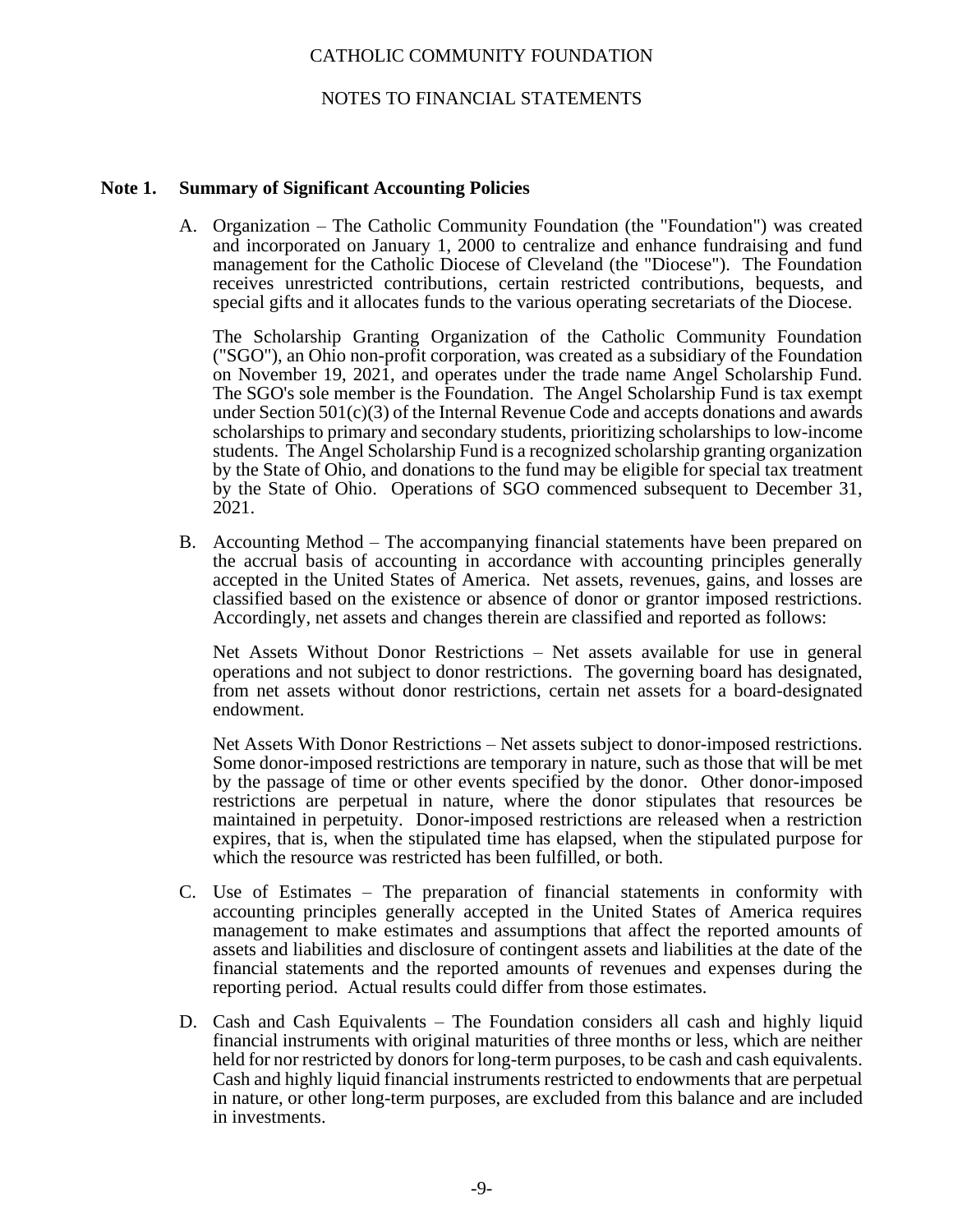## NOTES TO FINANCIAL STATEMENTS

#### **Note 1. Summary of Significant Accounting Policies**

A. Organization – The Catholic Community Foundation (the "Foundation") was created and incorporated on January 1, 2000 to centralize and enhance fundraising and fund management for the Catholic Diocese of Cleveland (the "Diocese"). The Foundation receives unrestricted contributions, certain restricted contributions, bequests, and special gifts and it allocates funds to the various operating secretariats of the Diocese.

The Scholarship Granting Organization of the Catholic Community Foundation ("SGO"), an Ohio non-profit corporation, was created as a subsidiary of the Foundation on November 19, 2021, and operates under the trade name Angel Scholarship Fund. The SGO's sole member is the Foundation. The Angel Scholarship Fund is tax exempt under Section  $501(c)(3)$  of the Internal Revenue Code and accepts donations and awards scholarships to primary and secondary students, prioritizing scholarships to low-income students. The Angel Scholarship Fund is a recognized scholarship granting organization by the State of Ohio, and donations to the fund may be eligible for special tax treatment by the State of Ohio. Operations of SGO commenced subsequent to December 31, 2021.

B. Accounting Method – The accompanying financial statements have been prepared on the accrual basis of accounting in accordance with accounting principles generally accepted in the United States of America. Net assets, revenues, gains, and losses are classified based on the existence or absence of donor or grantor imposed restrictions. Accordingly, net assets and changes therein are classified and reported as follows:

Net Assets Without Donor Restrictions – Net assets available for use in general operations and not subject to donor restrictions. The governing board has designated, from net assets without donor restrictions, certain net assets for a board-designated endowment.

Net Assets With Donor Restrictions – Net assets subject to donor-imposed restrictions. Some donor-imposed restrictions are temporary in nature, such as those that will be met by the passage of time or other events specified by the donor. Other donor-imposed restrictions are perpetual in nature, where the donor stipulates that resources be maintained in perpetuity. Donor-imposed restrictions are released when a restriction expires, that is, when the stipulated time has elapsed, when the stipulated purpose for which the resource was restricted has been fulfilled, or both.

- C. Use of Estimates The preparation of financial statements in conformity with accounting principles generally accepted in the United States of America requires management to make estimates and assumptions that affect the reported amounts of assets and liabilities and disclosure of contingent assets and liabilities at the date of the financial statements and the reported amounts of revenues and expenses during the reporting period. Actual results could differ from those estimates.
- D. Cash and Cash Equivalents The Foundation considers all cash and highly liquid financial instruments with original maturities of three months or less, which are neither held for nor restricted by donors for long-term purposes, to be cash and cash equivalents. Cash and highly liquid financial instruments restricted to endowments that are perpetual in nature, or other long-term purposes, are excluded from this balance and are included in investments.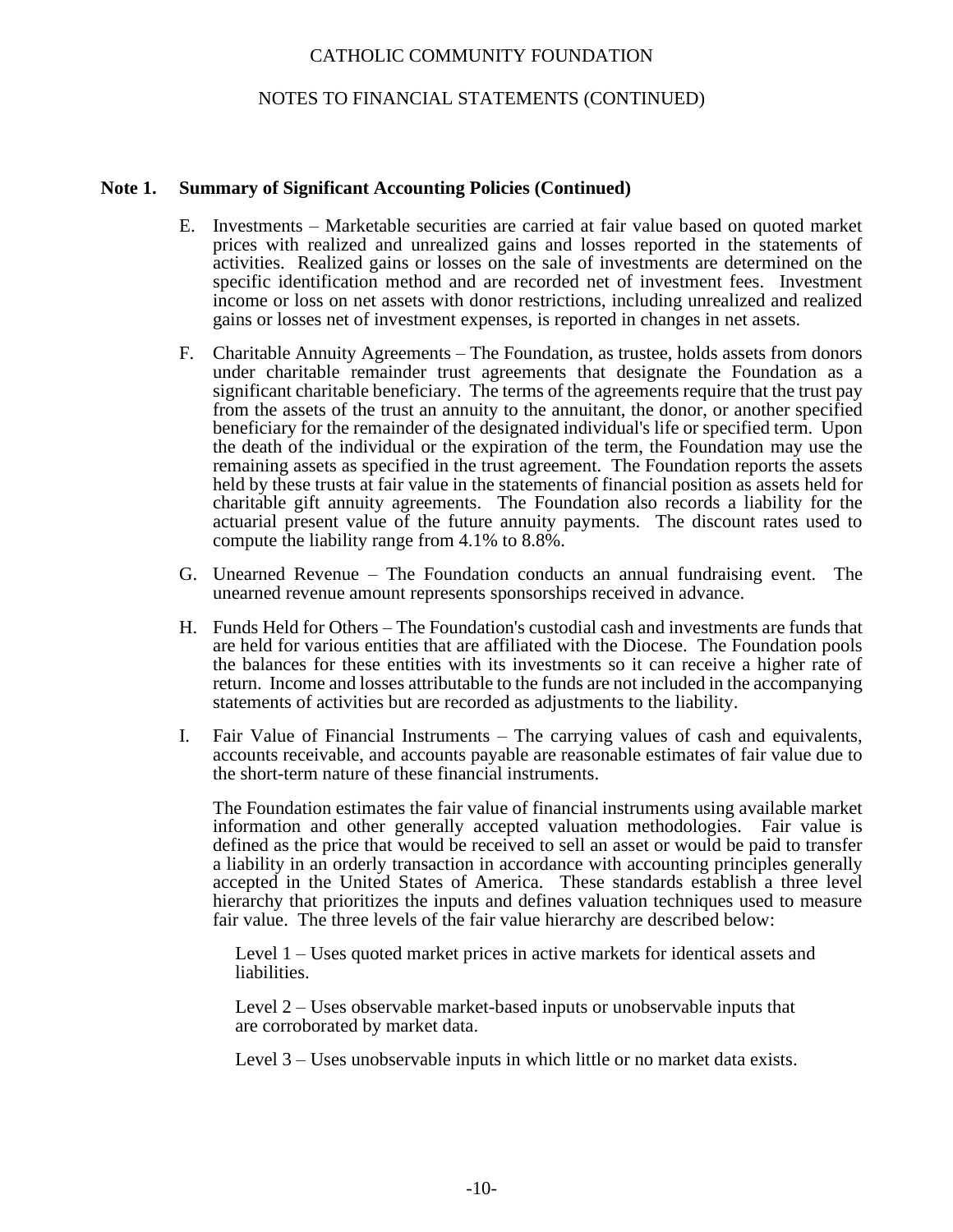## NOTES TO FINANCIAL STATEMENTS (CONTINUED)

## **Note 1. Summary of Significant Accounting Policies (Continued)**

- E. Investments Marketable securities are carried at fair value based on quoted market prices with realized and unrealized gains and losses reported in the statements of activities. Realized gains or losses on the sale of investments are determined on the specific identification method and are recorded net of investment fees. Investment income or loss on net assets with donor restrictions, including unrealized and realized gains or losses net of investment expenses, is reported in changes in net assets.
- F. Charitable Annuity Agreements The Foundation, as trustee, holds assets from donors under charitable remainder trust agreements that designate the Foundation as a significant charitable beneficiary. The terms of the agreements require that the trust pay from the assets of the trust an annuity to the annuitant, the donor, or another specified beneficiary for the remainder of the designated individual's life or specified term. Upon the death of the individual or the expiration of the term, the Foundation may use the remaining assets as specified in the trust agreement. The Foundation reports the assets held by these trusts at fair value in the statements of financial position as assets held for charitable gift annuity agreements. The Foundation also records a liability for the actuarial present value of the future annuity payments. The discount rates used to compute the liability range from 4.1% to 8.8%.
- G. Unearned Revenue The Foundation conducts an annual fundraising event. The unearned revenue amount represents sponsorships received in advance.
- H. Funds Held for Others The Foundation's custodial cash and investments are funds that are held for various entities that are affiliated with the Diocese. The Foundation pools the balances for these entities with its investments so it can receive a higher rate of return. Income and losses attributable to the funds are not included in the accompanying statements of activities but are recorded as adjustments to the liability.
- I. Fair Value of Financial Instruments The carrying values of cash and equivalents, accounts receivable, and accounts payable are reasonable estimates of fair value due to the short-term nature of these financial instruments.

The Foundation estimates the fair value of financial instruments using available market information and other generally accepted valuation methodologies. Fair value is defined as the price that would be received to sell an asset or would be paid to transfer a liability in an orderly transaction in accordance with accounting principles generally accepted in the United States of America. These standards establish a three level hierarchy that prioritizes the inputs and defines valuation techniques used to measure fair value. The three levels of the fair value hierarchy are described below:

Level 1 – Uses quoted market prices in active markets for identical assets and liabilities.

Level 2 – Uses observable market-based inputs or unobservable inputs that are corroborated by market data.

Level 3 – Uses unobservable inputs in which little or no market data exists.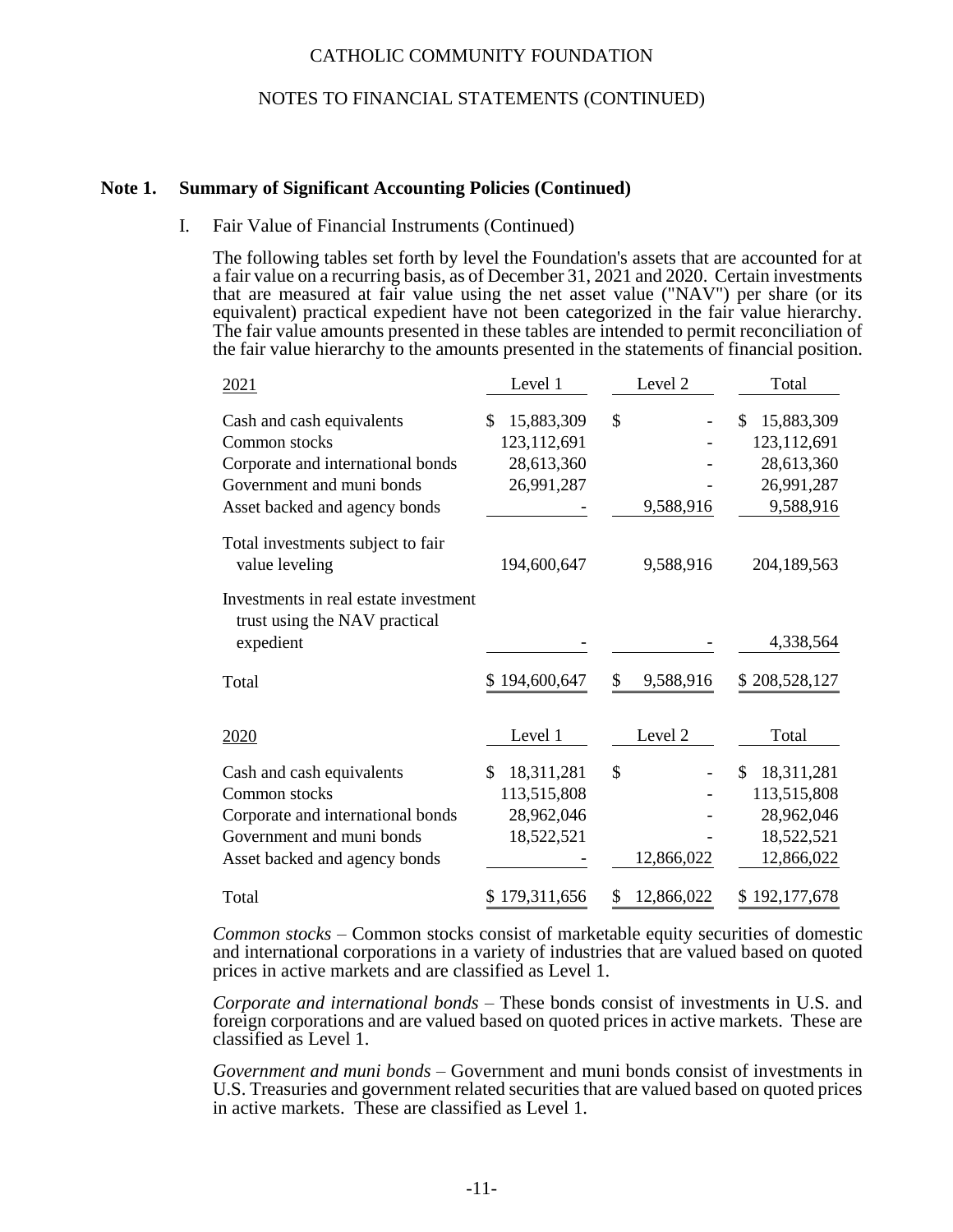## NOTES TO FINANCIAL STATEMENTS (CONTINUED)

#### **Note 1. Summary of Significant Accounting Policies (Continued)**

#### I. Fair Value of Financial Instruments (Continued)

The following tables set forth by level the Foundation's assets that are accounted for at a fair value on a recurring basis, as of December 31, 2021 and 2020. Certain investments that are measured at fair value using the net asset value ("NAV") per share (or its equivalent) practical expedient have not been categorized in the fair value hierarchy. The fair value amounts presented in these tables are intended to permit reconciliation of the fair value hierarchy to the amounts presented in the statements of financial position.

| 2021                                                                                | Level 1          | Level 2         | Total            |
|-------------------------------------------------------------------------------------|------------------|-----------------|------------------|
| Cash and cash equivalents                                                           | \$<br>15,883,309 | \$              | \$<br>15,883,309 |
| Common stocks                                                                       | 123,112,691      |                 | 123,112,691      |
| Corporate and international bonds                                                   | 28,613,360       |                 | 28,613,360       |
| Government and muni bonds                                                           | 26,991,287       |                 | 26,991,287       |
| Asset backed and agency bonds                                                       |                  | 9,588,916       | 9,588,916        |
| Total investments subject to fair<br>value leveling                                 | 194,600,647      | 9,588,916       | 204,189,563      |
| Investments in real estate investment<br>trust using the NAV practical<br>expedient |                  |                 | 4,338,564        |
| Total                                                                               | \$194,600,647    | \$<br>9,588,916 | \$208,528,127    |
| 2020                                                                                | Level 1          | Level 2         | Total            |
| Cash and cash equivalents                                                           | \$<br>18,311,281 | \$              | 18,311,281<br>\$ |
| Common stocks                                                                       | 113,515,808      |                 | 113,515,808      |
| Corporate and international bonds                                                   | 28,962,046       |                 | 28,962,046       |
| Government and muni bonds                                                           | 18,522,521       |                 | 18,522,521       |
| Asset backed and agency bonds                                                       |                  | 12,866,022      | 12,866,022       |
| Total                                                                               | \$179,311,656    | 12,866,022<br>S | \$192,177,678    |

*Common stocks* – Common stocks consist of marketable equity securities of domestic and international corporations in a variety of industries that are valued based on quoted prices in active markets and are classified as Level 1.

*Corporate and international bonds* – These bonds consist of investments in U.S. and foreign corporations and are valued based on quoted prices in active markets. These are classified as Level 1.

*Government and muni bonds* – Government and muni bonds consist of investments in U.S. Treasuries and government related securities that are valued based on quoted prices in active markets. These are classified as Level 1.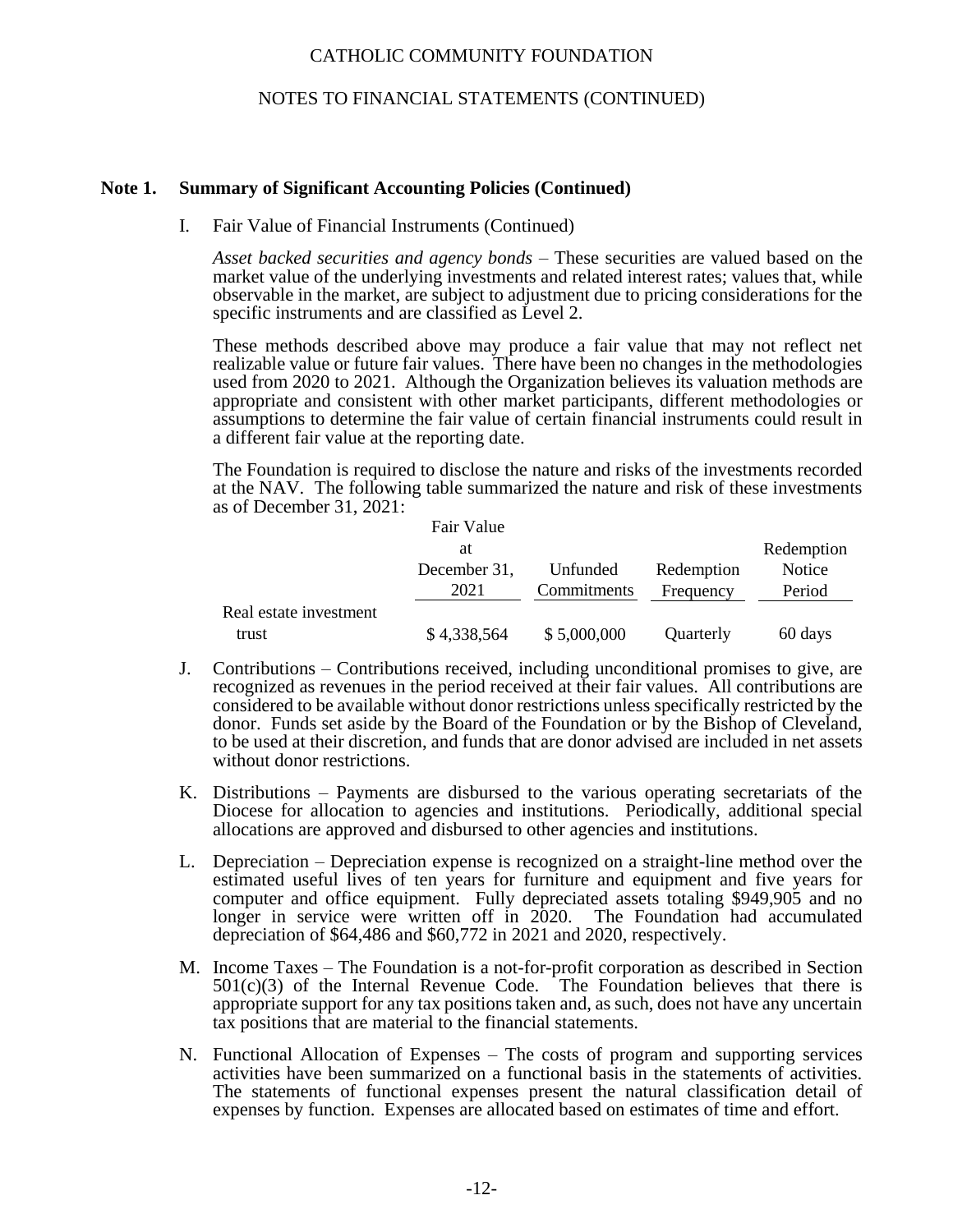## NOTES TO FINANCIAL STATEMENTS (CONTINUED)

#### **Note 1. Summary of Significant Accounting Policies (Continued)**

#### I. Fair Value of Financial Instruments (Continued)

*Asset backed securities and agency bonds* – These securities are valued based on the market value of the underlying investments and related interest rates; values that, while observable in the market, are subject to adjustment due to pricing considerations for the specific instruments and are classified as Level 2.

These methods described above may produce a fair value that may not reflect net realizable value or future fair values. There have been no changes in the methodologies used from 2020 to 2021. Although the Organization believes its valuation methods are appropriate and consistent with other market participants, different methodologies or assumptions to determine the fair value of certain financial instruments could result in a different fair value at the reporting date.

The Foundation is required to disclose the nature and risks of the investments recorded at the NAV. The following table summarized the nature and risk of these investments as of December 31, 2021:

|                        | Fair Value   |             |            |            |
|------------------------|--------------|-------------|------------|------------|
|                        | at           |             |            | Redemption |
|                        | December 31, | Unfunded    | Redemption | Notice     |
|                        | 2021         | Commitments | Frequency  | Period     |
| Real estate investment |              |             |            |            |
| trust                  | \$4,338,564  | \$5,000,000 | Quarterly  | 60 days    |

- J. Contributions Contributions received, including unconditional promises to give, are recognized as revenues in the period received at their fair values. All contributions are considered to be available without donor restrictions unless specifically restricted by the donor. Funds set aside by the Board of the Foundation or by the Bishop of Cleveland, to be used at their discretion, and funds that are donor advised are included in net assets without donor restrictions.
- K. Distributions Payments are disbursed to the various operating secretariats of the Diocese for allocation to agencies and institutions. Periodically, additional special allocations are approved and disbursed to other agencies and institutions.
- L. Depreciation Depreciation expense is recognized on a straight-line method over the estimated useful lives of ten years for furniture and equipment and five years for computer and office equipment. Fully depreciated assets totaling \$949,905 and no longer in service were written off in 2020. The Foundation had accumulated depreciation of \$64,486 and \$60,772 in 2021 and 2020, respectively.
- M. Income Taxes The Foundation is a not-for-profit corporation as described in Section  $501(c)(3)$  of the Internal Revenue Code. The Foundation believes that there is appropriate support for any tax positions taken and, as such, does not have any uncertain tax positions that are material to the financial statements.
- N. Functional Allocation of Expenses The costs of program and supporting services activities have been summarized on a functional basis in the statements of activities. The statements of functional expenses present the natural classification detail of expenses by function. Expenses are allocated based on estimates of time and effort.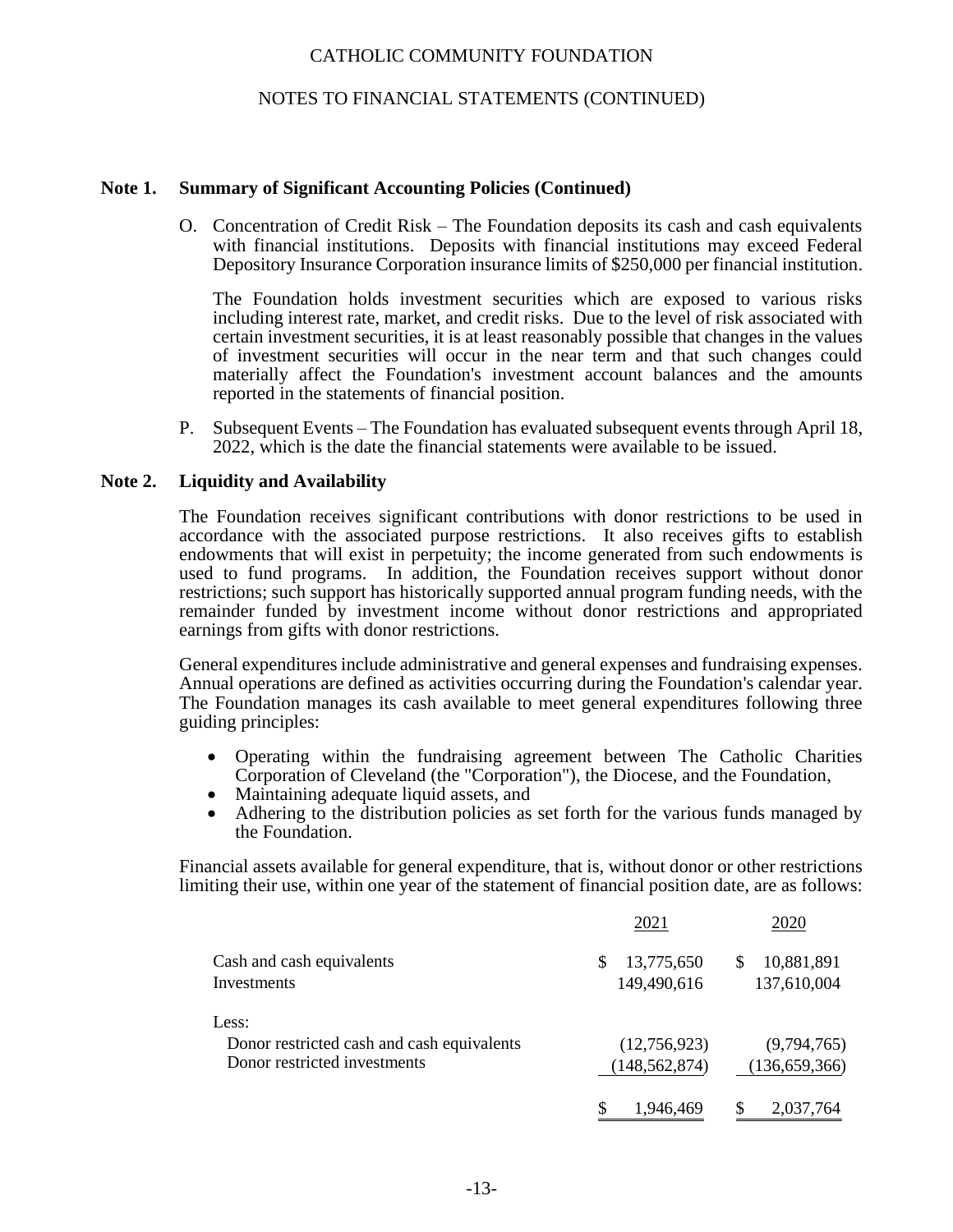# NOTES TO FINANCIAL STATEMENTS (CONTINUED)

## **Note 1. Summary of Significant Accounting Policies (Continued)**

O. Concentration of Credit Risk – The Foundation deposits its cash and cash equivalents with financial institutions. Deposits with financial institutions may exceed Federal Depository Insurance Corporation insurance limits of \$250,000 per financial institution.

The Foundation holds investment securities which are exposed to various risks including interest rate, market, and credit risks. Due to the level of risk associated with certain investment securities, it is at least reasonably possible that changes in the values of investment securities will occur in the near term and that such changes could materially affect the Foundation's investment account balances and the amounts reported in the statements of financial position.

P. Subsequent Events – The Foundation has evaluated subsequent events through April 18, 2022, which is the date the financial statements were available to be issued.

## **Note 2. Liquidity and Availability**

The Foundation receives significant contributions with donor restrictions to be used in accordance with the associated purpose restrictions. It also receives gifts to establish endowments that will exist in perpetuity; the income generated from such endowments is used to fund programs. In addition, the Foundation receives support without donor restrictions; such support has historically supported annual program funding needs, with the remainder funded by investment income without donor restrictions and appropriated earnings from gifts with donor restrictions.

General expenditures include administrative and general expenses and fundraising expenses. Annual operations are defined as activities occurring during the Foundation's calendar year. The Foundation manages its cash available to meet general expenditures following three guiding principles:

- Operating within the fundraising agreement between The Catholic Charities Corporation of Cleveland (the "Corporation"), the Diocese, and the Foundation,
- Maintaining adequate liquid assets, and
- Adhering to the distribution policies as set forth for the various funds managed by the Foundation.

Financial assets available for general expenditure, that is, without donor or other restrictions limiting their use, within one year of the statement of financial position date, are as follows:

|                                            | 2021            | 2020            |
|--------------------------------------------|-----------------|-----------------|
| Cash and cash equivalents                  | 13,775,650<br>S | 10,881,891<br>S |
| Investments                                | 149,490,616     | 137,610,004     |
| Less:                                      |                 |                 |
| Donor restricted cash and cash equivalents | (12,756,923)    | (9,794,765)     |
| Donor restricted investments               | (148, 562, 874) | (136, 659, 366) |
|                                            | S<br>1.946.469  | S<br>2,037,764  |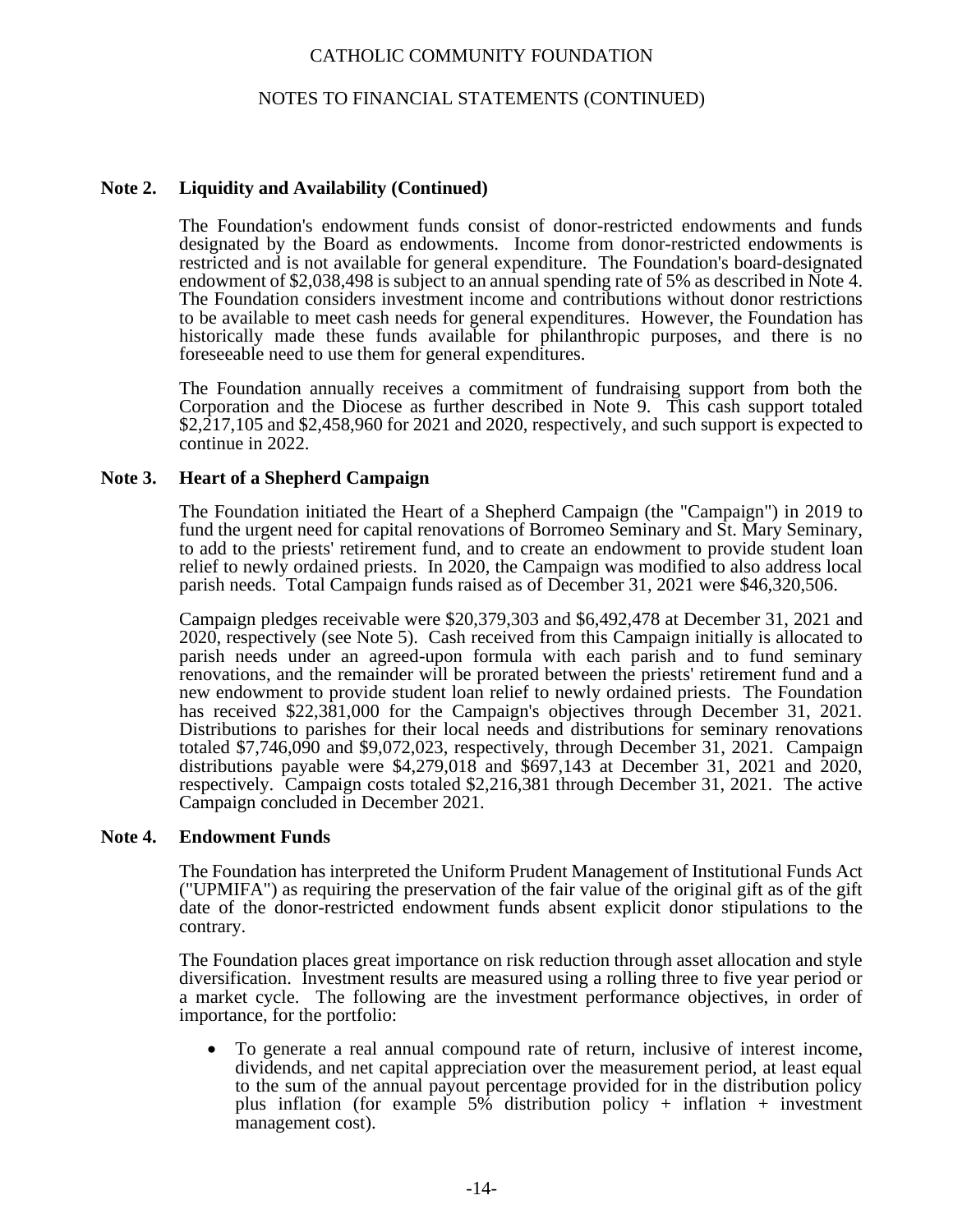## NOTES TO FINANCIAL STATEMENTS (CONTINUED)

## **Note 2. Liquidity and Availability (Continued)**

The Foundation's endowment funds consist of donor-restricted endowments and funds designated by the Board as endowments. Income from donor-restricted endowments is restricted and is not available for general expenditure. The Foundation's board-designated endowment of \$2,038,498 is subject to an annual spending rate of 5% as described in Note 4. The Foundation considers investment income and contributions without donor restrictions to be available to meet cash needs for general expenditures. However, the Foundation has historically made these funds available for philanthropic purposes, and there is no foreseeable need to use them for general expenditures.

The Foundation annually receives a commitment of fundraising support from both the Corporation and the Diocese as further described in Note 9. This cash support totaled \$2,217,105 and \$2,458,960 for 2021 and 2020, respectively, and such support is expected to continue in 2022.

## **Note 3. Heart of a Shepherd Campaign**

The Foundation initiated the Heart of a Shepherd Campaign (the "Campaign") in 2019 to fund the urgent need for capital renovations of Borromeo Seminary and St. Mary Seminary, to add to the priests' retirement fund, and to create an endowment to provide student loan relief to newly ordained priests. In 2020, the Campaign was modified to also address local parish needs. Total Campaign funds raised as of December 31, 2021 were \$46,320,506.

Campaign pledges receivable were \$20,379,303 and \$6,492,478 at December 31, 2021 and 2020, respectively (see Note 5). Cash received from this Campaign initially is allocated to parish needs under an agreed-upon formula with each parish and to fund seminary renovations, and the remainder will be prorated between the priests' retirement fund and a new endowment to provide student loan relief to newly ordained priests. The Foundation has received \$22,381,000 for the Campaign's objectives through December 31, 2021. Distributions to parishes for their local needs and distributions for seminary renovations totaled \$7,746,090 and \$9,072,023, respectively, through December 31, 2021. Campaign distributions payable were \$4,279,018 and \$697,143 at December 31, 2021 and 2020, respectively. Campaign costs totaled \$2,216,381 through December 31, 2021. The active Campaign concluded in December 2021.

#### **Note 4. Endowment Funds**

The Foundation has interpreted the Uniform Prudent Management of Institutional Funds Act ("UPMIFA") as requiring the preservation of the fair value of the original gift as of the gift date of the donor-restricted endowment funds absent explicit donor stipulations to the contrary.

The Foundation places great importance on risk reduction through asset allocation and style diversification. Investment results are measured using a rolling three to five year period or a market cycle. The following are the investment performance objectives, in order of importance, for the portfolio:

• To generate a real annual compound rate of return, inclusive of interest income, dividends, and net capital appreciation over the measurement period, at least equal to the sum of the annual payout percentage provided for in the distribution policy plus inflation (for example 5% distribution policy + inflation + investment management cost).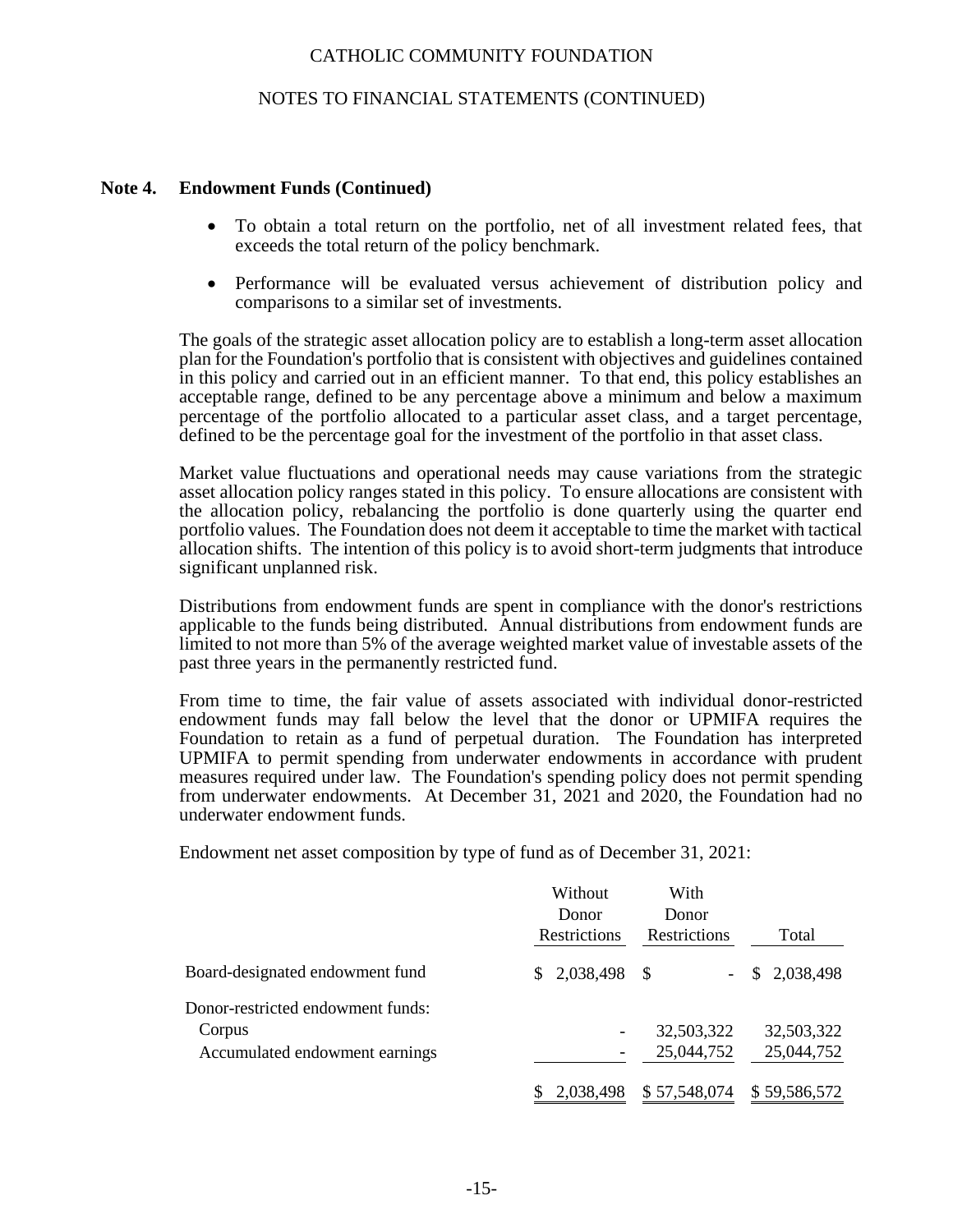## NOTES TO FINANCIAL STATEMENTS (CONTINUED)

## **Note 4. Endowment Funds (Continued)**

- To obtain a total return on the portfolio, net of all investment related fees, that exceeds the total return of the policy benchmark.
- Performance will be evaluated versus achievement of distribution policy and comparisons to a similar set of investments.

The goals of the strategic asset allocation policy are to establish a long-term asset allocation plan for the Foundation's portfolio that is consistent with objectives and guidelines contained in this policy and carried out in an efficient manner. To that end, this policy establishes an acceptable range, defined to be any percentage above a minimum and below a maximum percentage of the portfolio allocated to a particular asset class, and a target percentage, defined to be the percentage goal for the investment of the portfolio in that asset class.

Market value fluctuations and operational needs may cause variations from the strategic asset allocation policy ranges stated in this policy. To ensure allocations are consistent with the allocation policy, rebalancing the portfolio is done quarterly using the quarter end portfolio values. The Foundation does not deem it acceptable to time the market with tactical allocation shifts. The intention of this policy is to avoid short-term judgments that introduce significant unplanned risk.

Distributions from endowment funds are spent in compliance with the donor's restrictions applicable to the funds being distributed. Annual distributions from endowment funds are limited to not more than 5% of the average weighted market value of investable assets of the past three years in the permanently restricted fund.

From time to time, the fair value of assets associated with individual donor-restricted endowment funds may fall below the level that the donor or UPMIFA requires the Foundation to retain as a fund of perpetual duration. The Foundation has interpreted UPMIFA to permit spending from underwater endowments in accordance with prudent measures required under law. The Foundation's spending policy does not permit spending from underwater endowments. At December 31, 2021 and 2020, the Foundation had no underwater endowment funds.

Endowment net asset composition by type of fund as of December 31, 2021:

|                                             | Without<br>Donor<br>Restrictions | With<br>Donor<br>Restrictions | Total        |
|---------------------------------------------|----------------------------------|-------------------------------|--------------|
| Board-designated endowment fund             | \$2,038,498                      | - \$                          | \$2,038,498  |
| Donor-restricted endowment funds:<br>Corpus | -                                | 32,503,322                    | 32,503,322   |
| Accumulated endowment earnings              |                                  | 25,044,752                    | 25,044,752   |
|                                             | 2,038,498                        | \$57,548,074                  | \$59,586,572 |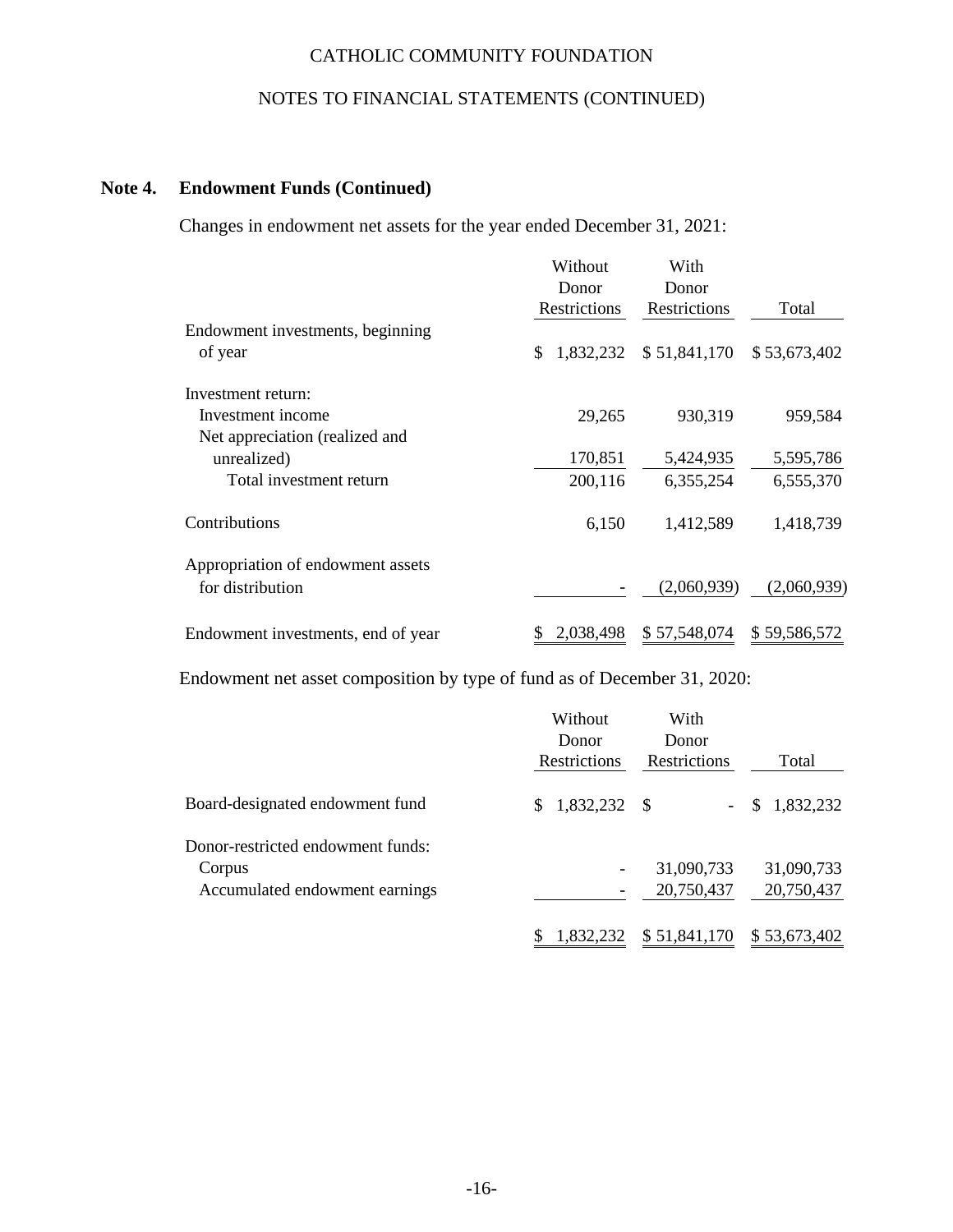# NOTES TO FINANCIAL STATEMENTS (CONTINUED)

# **Note 4. Endowment Funds (Continued)**

Changes in endowment net assets for the year ended December 31, 2021:

|                                    | Without         | With         |              |
|------------------------------------|-----------------|--------------|--------------|
|                                    | Donor           | Donor        |              |
|                                    | Restrictions    | Restrictions | Total        |
| Endowment investments, beginning   |                 |              |              |
| of year                            | \$<br>1,832,232 | \$51,841,170 | \$53,673,402 |
| Investment return:                 |                 |              |              |
| Investment income                  | 29,265          | 930,319      | 959,584      |
| Net appreciation (realized and     |                 |              |              |
| unrealized)                        | 170,851         | 5,424,935    | 5,595,786    |
| Total investment return            | 200,116         | 6,355,254    | 6,555,370    |
| Contributions                      | 6,150           | 1,412,589    | 1,418,739    |
| Appropriation of endowment assets  |                 |              |              |
| for distribution                   |                 | (2,060,939)  | (2,060,939)  |
| Endowment investments, end of year | 2,038,498       | \$57,548,074 | \$59,586,572 |

Endowment net asset composition by type of fund as of December 31, 2020:

|                                             | Without<br>Donor<br>Restrictions | With<br>Donor<br>Restrictions | Total                    |
|---------------------------------------------|----------------------------------|-------------------------------|--------------------------|
| Board-designated endowment fund             | 1,832,232                        | - \$                          | 1,832,232<br>S.          |
| Donor-restricted endowment funds:<br>Corpus |                                  | 31,090,733<br>20,750,437      | 31,090,733<br>20,750,437 |
| Accumulated endowment earnings              | 1,832,232                        | \$51,841,170                  | \$53,673,402             |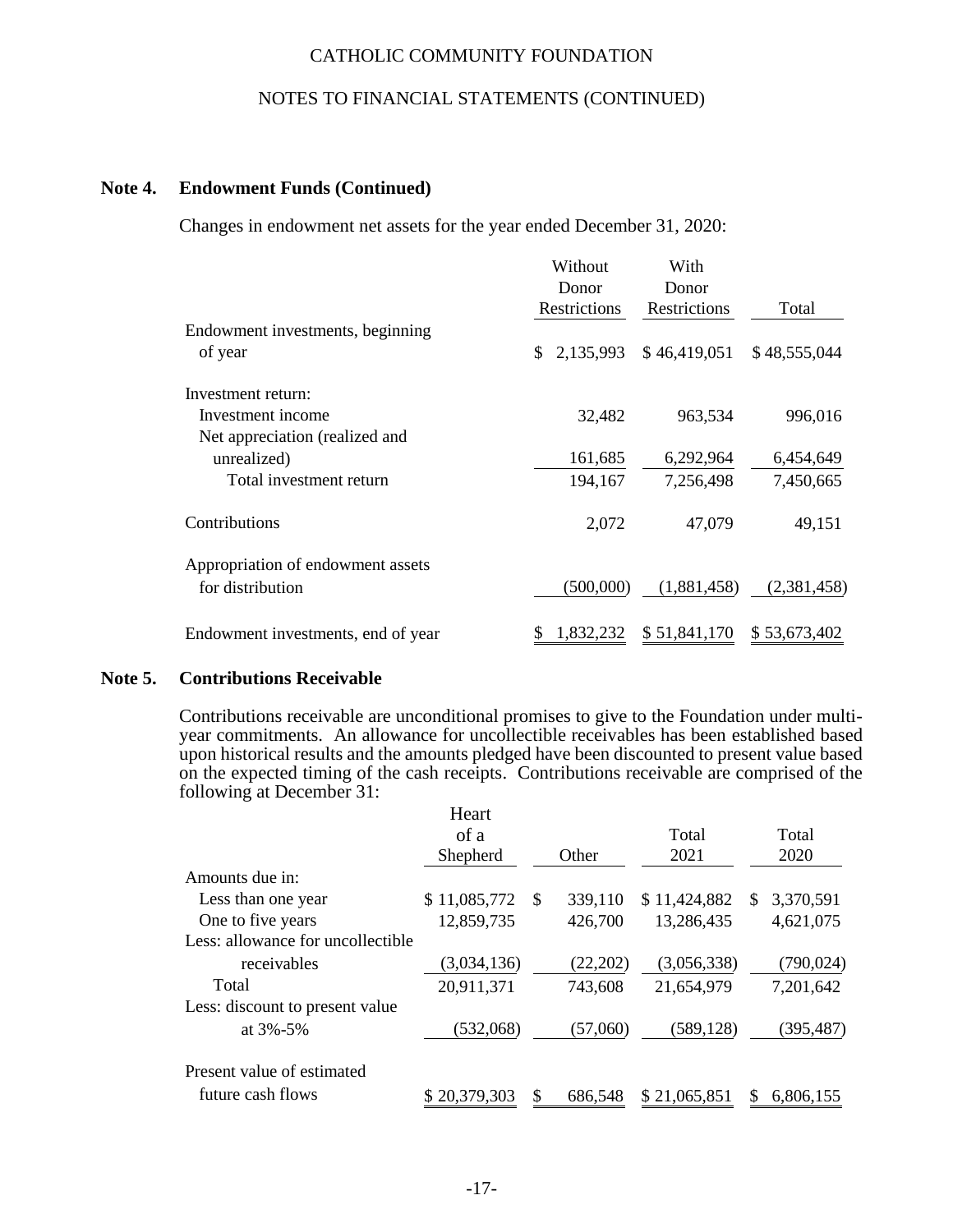## NOTES TO FINANCIAL STATEMENTS (CONTINUED)

## **Note 4. Endowment Funds (Continued)**

Changes in endowment net assets for the year ended December 31, 2020:

|                                    | Without         | With         |              |
|------------------------------------|-----------------|--------------|--------------|
|                                    | Donor           | Donor        |              |
|                                    | Restrictions    | Restrictions | Total        |
| Endowment investments, beginning   |                 |              |              |
| of year                            | \$2,135,993     | \$46,419,051 | \$48,555,044 |
| Investment return:                 |                 |              |              |
| Investment income                  | 32,482          | 963,534      | 996,016      |
| Net appreciation (realized and     |                 |              |              |
| unrealized)                        | 161,685         | 6,292,964    | 6,454,649    |
| Total investment return            | 194,167         | 7,256,498    | 7,450,665    |
| Contributions                      | 2,072           | 47,079       | 49,151       |
| Appropriation of endowment assets  |                 |              |              |
| for distribution                   | (500,000)       | (1,881,458)  | (2,381,458)  |
| Endowment investments, end of year | 1,832,232<br>\$ | \$51,841,170 | \$53,673,402 |

## **Note 5. Contributions Receivable**

Contributions receivable are unconditional promises to give to the Foundation under multiyear commitments. An allowance for uncollectible receivables has been established based upon historical results and the amounts pledged have been discounted to present value based on the expected timing of the cash receipts. Contributions receivable are comprised of the following at December 31:

|                                   | Heart        |     |          |              |   |           |
|-----------------------------------|--------------|-----|----------|--------------|---|-----------|
|                                   | of a         |     |          | Total        |   | Total     |
|                                   | Shepherd     |     | Other    | 2021         |   | 2020      |
| Amounts due in:                   |              |     |          |              |   |           |
| Less than one year                | \$11,085,772 | \$. | 339,110  | \$11,424,882 | S | 3,370,591 |
| One to five years                 | 12,859,735   |     | 426,700  | 13,286,435   |   | 4,621,075 |
| Less: allowance for uncollectible |              |     |          |              |   |           |
| receivables                       | (3,034,136)  |     | (22,202) | (3,056,338)  |   | (790,024) |
| Total                             | 20,911,371   |     | 743,608  | 21,654,979   |   | 7,201,642 |
| Less: discount to present value   |              |     |          |              |   |           |
| at $3\% - 5\%$                    | (532,068)    |     | (57,060) | (589,128)    |   | (395,487) |
| Present value of estimated        |              |     |          |              |   |           |
| future cash flows                 | 20,379,303   |     | 686,548  | \$21,065,851 |   | 6,806,155 |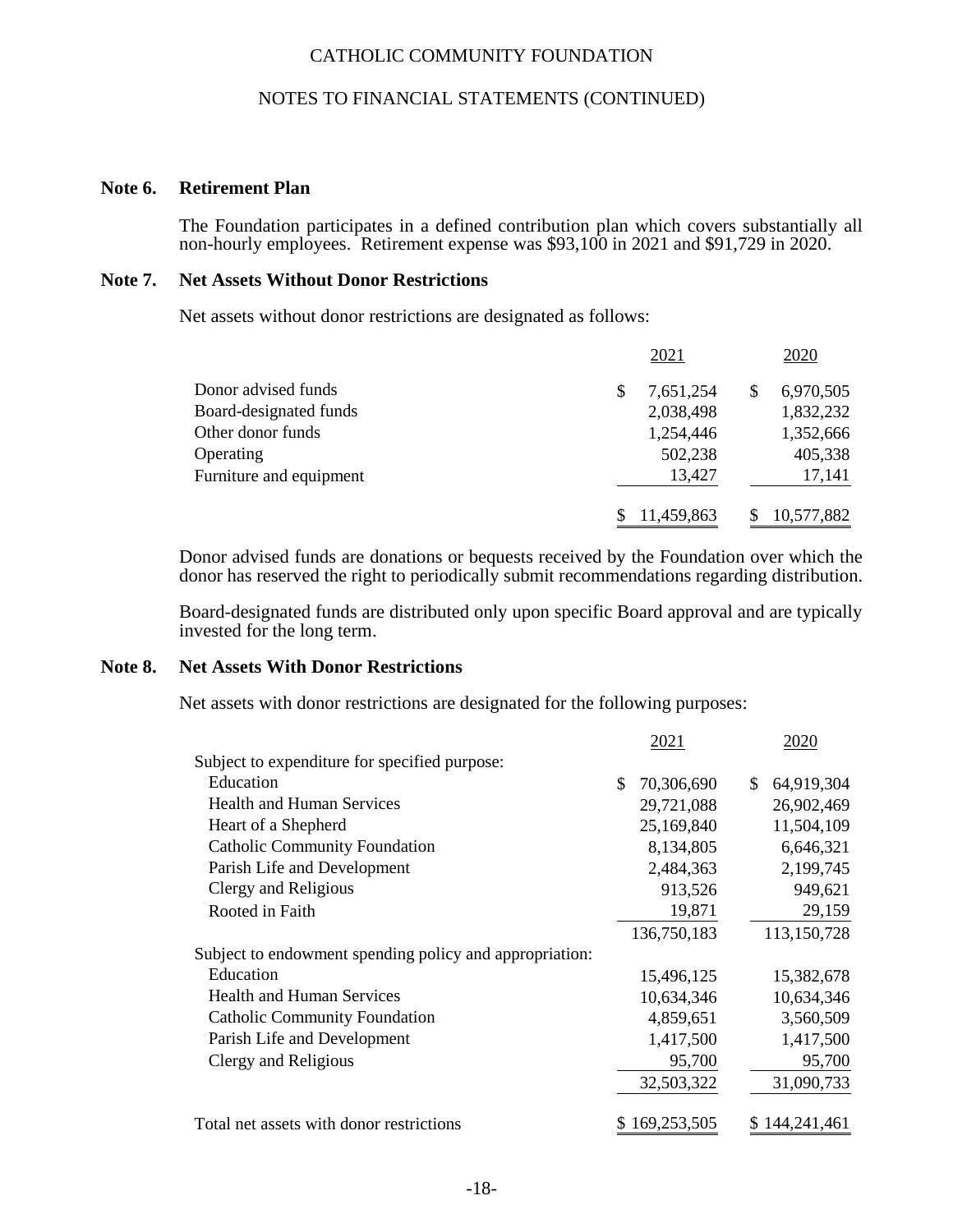## NOTES TO FINANCIAL STATEMENTS (CONTINUED)

#### **Note 6. Retirement Plan**

The Foundation participates in a defined contribution plan which covers substantially all non-hourly employees. Retirement expense was \$93,100 in 2021 and \$91,729 in 2020.

#### **Note 7. Net Assets Without Donor Restrictions**

Net assets without donor restrictions are designated as follows:

|                         |   | 2021       | 2020       |
|-------------------------|---|------------|------------|
| Donor advised funds     | S | 7,651,254  | 6,970,505  |
| Board-designated funds  |   | 2,038,498  | 1,832,232  |
| Other donor funds       |   | 1,254,446  | 1,352,666  |
| Operating               |   | 502,238    | 405,338    |
| Furniture and equipment |   | 13,427     | 17,141     |
|                         |   | 11,459,863 | 10,577,882 |

Donor advised funds are donations or bequests received by the Foundation over which the donor has reserved the right to periodically submit recommendations regarding distribution.

Board-designated funds are distributed only upon specific Board approval and are typically invested for the long term.

#### **Note 8. Net Assets With Donor Restrictions**

Net assets with donor restrictions are designated for the following purposes:

|                                                         | 2021             |     | 2020          |
|---------------------------------------------------------|------------------|-----|---------------|
| Subject to expenditure for specified purpose:           |                  |     |               |
| Education                                               | \$<br>70,306,690 | \$. | 64,919,304    |
| <b>Health and Human Services</b>                        | 29,721,088       |     | 26,902,469    |
| Heart of a Shepherd                                     | 25,169,840       |     | 11,504,109    |
| <b>Catholic Community Foundation</b>                    | 8,134,805        |     | 6,646,321     |
| Parish Life and Development                             | 2,484,363        |     | 2,199,745     |
| Clergy and Religious                                    | 913,526          |     | 949,621       |
| Rooted in Faith                                         | 19,871           |     | 29,159        |
|                                                         | 136,750,183      |     | 113,150,728   |
| Subject to endowment spending policy and appropriation: |                  |     |               |
| Education                                               | 15,496,125       |     | 15,382,678    |
| <b>Health and Human Services</b>                        | 10,634,346       |     | 10,634,346    |
| <b>Catholic Community Foundation</b>                    | 4,859,651        |     | 3,560,509     |
| Parish Life and Development                             | 1,417,500        |     | 1,417,500     |
| Clergy and Religious                                    | 95,700           |     | 95,700        |
|                                                         | 32,503,322       |     | 31,090,733    |
| Total net assets with donor restrictions                | 169,253,505      |     | \$144,241,461 |